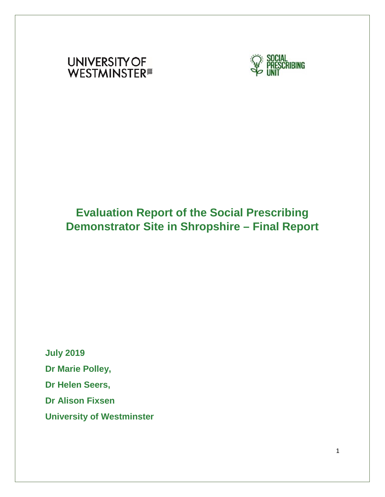



# **Evaluation Report of the Social Prescribing Demonstrator Site in Shropshire – Final Report**

**July 2019 Dr Marie Polley, Dr Helen Seers, Dr Alison Fixsen University of Westminster**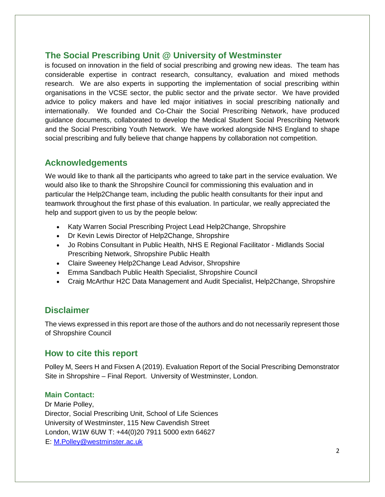# **The Social Prescribing Unit @ University of Westminster**

is focused on innovation in the field of social prescribing and growing new ideas. The team has considerable expertise in contract research, consultancy, evaluation and mixed methods research. We are also experts in supporting the implementation of social prescribing within organisations in the VCSE sector, the public sector and the private sector. We have provided advice to policy makers and have led major initiatives in social prescribing nationally and internationally. We founded and Co-Chair the Social Prescribing Network, have produced guidance documents, collaborated to develop the Medical Student Social Prescribing Network and the Social Prescribing Youth Network. We have worked alongside NHS England to shape social prescribing and fully believe that change happens by collaboration not competition.

# **Acknowledgements**

We would like to thank all the participants who agreed to take part in the service evaluation. We would also like to thank the Shropshire Council for commissioning this evaluation and in particular the Help2Change team, including the public health consultants for their input and teamwork throughout the first phase of this evaluation. In particular, we really appreciated the help and support given to us by the people below:

- Katy Warren Social Prescribing Project Lead Help2Change, Shropshire
- Dr Kevin Lewis Director of Help2Change, Shropshire
- Jo Robins Consultant in Public Health, NHS E Regional Facilitator Midlands Social Prescribing Network, Shropshire Public Health
- Claire Sweeney Help2Change Lead Advisor, Shropshire
- Emma Sandbach Public Health Specialist, Shropshire Council
- Craig McArthur H2C Data Management and Audit Specialist, Help2Change, Shropshire

# **Disclaimer**

The views expressed in this report are those of the authors and do not necessarily represent those of Shropshire Council

# **How to cite this report**

Polley M, Seers H and Fixsen A (2019). Evaluation Report of the Social Prescribing Demonstrator Site in Shropshire – Final Report. University of Westminster, London.

### **Main Contact:**

Dr Marie Polley, Director, Social Prescribing Unit, School of Life Sciences University of Westminster, 115 New Cavendish Street London, W1W 6UW T: +44(0)20 7911 5000 extn 64627 E: M.Polley@westminster.ac.uk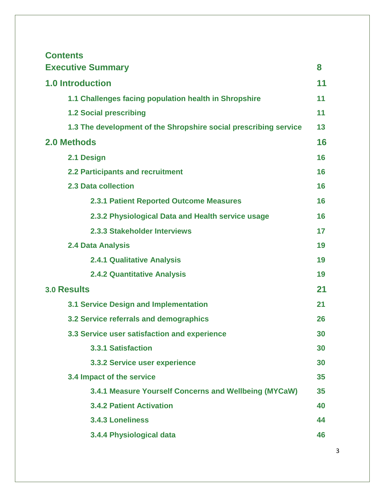| <b>Contents</b>                                                  |    |
|------------------------------------------------------------------|----|
| <b>Executive Summary</b>                                         | 8  |
| <b>1.0 Introduction</b>                                          | 11 |
| 1.1 Challenges facing population health in Shropshire            | 11 |
| <b>1.2 Social prescribing</b>                                    | 11 |
| 1.3 The development of the Shropshire social prescribing service | 13 |
| 2.0 Methods                                                      | 16 |
| 2.1 Design                                                       | 16 |
| <b>2.2 Participants and recruitment</b>                          | 16 |
| 2.3 Data collection                                              | 16 |
| <b>2.3.1 Patient Reported Outcome Measures</b>                   | 16 |
| 2.3.2 Physiological Data and Health service usage                | 16 |
| 2.3.3 Stakeholder Interviews                                     | 17 |
| 2.4 Data Analysis                                                | 19 |
| <b>2.4.1 Qualitative Analysis</b>                                | 19 |
| <b>2.4.2 Quantitative Analysis</b>                               | 19 |
| <b>3.0 Results</b>                                               | 21 |
| <b>3.1 Service Design and Implementation</b>                     | 21 |
| 3.2 Service referrals and demographics                           | 26 |
| 3.3 Service user satisfaction and experience                     | 30 |
| <b>3.3.1 Satisfaction</b>                                        | 30 |
| 3.3.2 Service user experience                                    | 30 |
| 3.4 Impact of the service                                        | 35 |
| 3.4.1 Measure Yourself Concerns and Wellbeing (MYCaW)            | 35 |
| <b>3.4.2 Patient Activation</b>                                  | 40 |
| <b>3.4.3 Loneliness</b>                                          | 44 |
| 3.4.4 Physiological data                                         | 46 |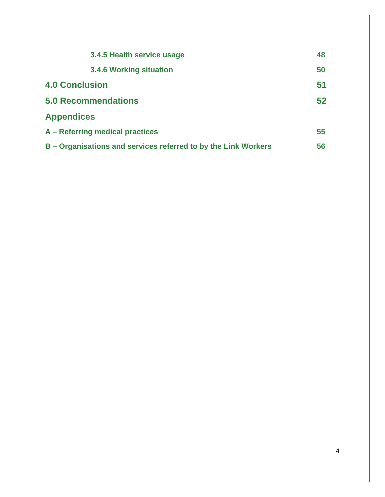| 3.4.5 Health service usage                                     | 48 |
|----------------------------------------------------------------|----|
| <b>3.4.6 Working situation</b>                                 | 50 |
| <b>4.0 Conclusion</b>                                          | 51 |
| <b>5.0 Recommendations</b>                                     | 52 |
| <b>Appendices</b>                                              |    |
| A - Referring medical practices                                | 55 |
| B - Organisations and services referred to by the Link Workers | 56 |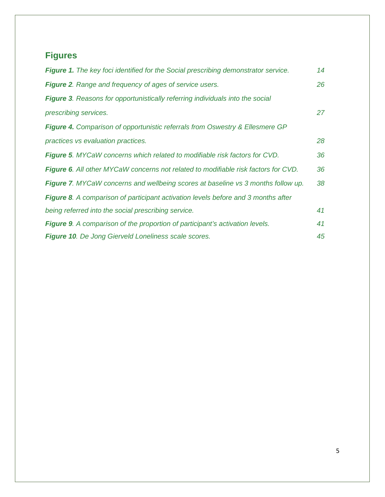# **Figures**

| Figure 1. The key foci identified for the Social prescribing demonstrator service.       | 14 |
|------------------------------------------------------------------------------------------|----|
| <b>Figure 2.</b> Range and frequency of ages of service users.                           | 26 |
| <b>Figure 3.</b> Reasons for opportunistically referring individuals into the social     |    |
| prescribing services.                                                                    | 27 |
| <b>Figure 4.</b> Comparison of opportunistic referrals from Oswestry & Ellesmere GP      |    |
| practices vs evaluation practices.                                                       | 28 |
| Figure 5. MYCaW concerns which related to modifiable risk factors for CVD.               | 36 |
| Figure 6. All other MYCaW concerns not related to modifiable risk factors for CVD.       | 36 |
| <b>Figure 7.</b> MYCaW concerns and wellbeing scores at baseline vs 3 months follow up.  | 38 |
| <b>Figure 8.</b> A comparison of participant activation levels before and 3 months after |    |
| being referred into the social prescribing service.                                      | 41 |
| <b>Figure 9.</b> A comparison of the proportion of participant's activation levels.      | 41 |
| <b>Figure 10.</b> De Jong Gierveld Loneliness scale scores.                              | 45 |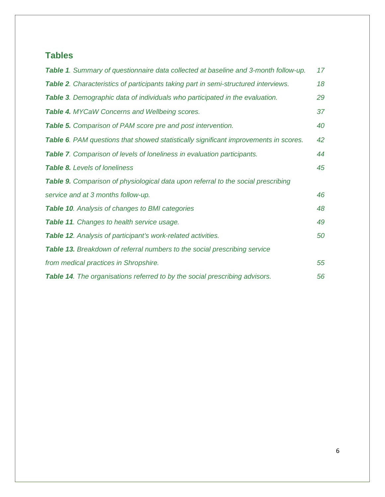# **Tables**

| <b>Table 1.</b> Summary of questionnaire data collected at baseline and 3-month follow-up.  | 17 |
|---------------------------------------------------------------------------------------------|----|
| Table 2. Characteristics of participants taking part in semi-structured interviews.         | 18 |
| Table 3. Demographic data of individuals who participated in the evaluation.                | 29 |
| Table 4. MYCaW Concerns and Wellbeing scores.                                               | 37 |
| <b>Table 5.</b> Comparison of PAM score pre and post intervention.                          | 40 |
| <b>Table 6.</b> PAM questions that showed statistically significant improvements in scores. | 42 |
| Table 7. Comparison of levels of loneliness in evaluation participants.                     | 44 |
| <b>Table 8.</b> Levels of loneliness                                                        | 45 |
| <b>Table 9.</b> Comparison of physiological data upon referral to the social prescribing    |    |
| service and at 3 months follow-up.                                                          | 46 |
| <b>Table 10.</b> Analysis of changes to BMI categories                                      | 48 |
| <b>Table 11.</b> Changes to health service usage.                                           | 49 |
| Table 12. Analysis of participant's work-related activities.                                | 50 |
| Table 13. Breakdown of referral numbers to the social prescribing service                   |    |
| from medical practices in Shropshire.                                                       | 55 |
| Table 14. The organisations referred to by the social prescribing advisors.                 | 56 |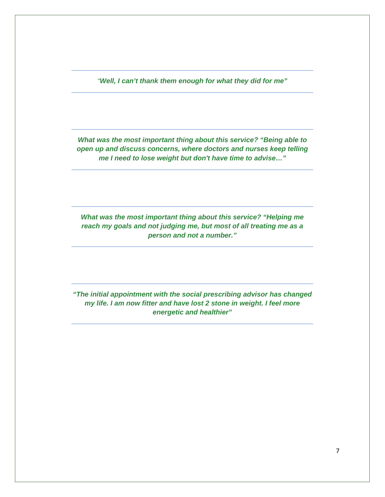*"Well, I can't thank them enough for what they did for me"*

*What was the most important thing about this service? "Being able to open up and discuss concerns, where doctors and nurses keep telling me I need to lose weight but don't have time to advise…"*

*What was the most important thing about this service? "Helping me reach my goals and not judging me, but most of all treating me as a person and not a number."*

*"The initial appointment with the social prescribing advisor has changed my life. I am now fitter and have lost 2 stone in weight. I feel more energetic and healthier"*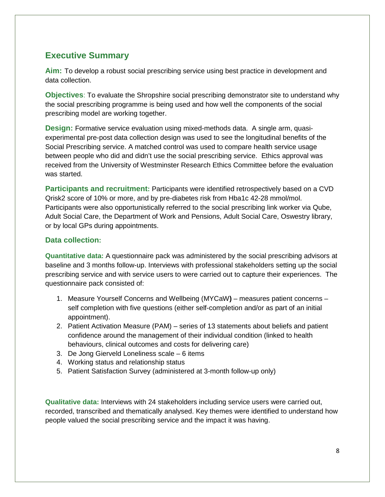# **Executive Summary**

**Aim:** To develop a robust social prescribing service using best practice in development and data collection.

**Objectives**: To evaluate the Shropshire social prescribing demonstrator site to understand why the social prescribing programme is being used and how well the components of the social prescribing model are working together.

**Design:** Formative service evaluation using mixed-methods data. A single arm, quasiexperimental pre-post data collection design was used to see the longitudinal benefits of the Social Prescribing service. A matched control was used to compare health service usage between people who did and didn't use the social prescribing service. Ethics approval was received from the University of Westminster Research Ethics Committee before the evaluation was started.

**Participants and recruitment:** Participants were identified retrospectively based on a CVD Qrisk2 score of 10% or more, and by pre-diabetes risk from Hba1c 42-28 mmol/mol. Participants were also opportunistically referred to the social prescribing link worker via Qube, Adult Social Care, the Department of Work and Pensions, Adult Social Care, Oswestry library, or by local GPs during appointments.

### **Data collection:**

**Quantitative data:** A questionnaire pack was administered by the social prescribing advisors at baseline and 3 months follow-up. Interviews with professional stakeholders setting up the social prescribing service and with service users to were carried out to capture their experiences. The questionnaire pack consisted of:

- 1. Measure Yourself Concerns and Wellbeing (MYCaW**)** measures patient concerns self completion with five questions (either self-completion and/or as part of an initial appointment).
- 2. Patient Activation Measure (PAM) series of 13 statements about beliefs and patient confidence around the management of their individual condition (linked to health behaviours, clinical outcomes and costs for delivering care)
- 3. De Jong Gierveld Loneliness scale 6 items
- 4. Working status and relationship status
- 5. Patient Satisfaction Survey (administered at 3-month follow-up only)

**Qualitative data:** Interviews with 24 stakeholders including service users were carried out, recorded, transcribed and thematically analysed. Key themes were identified to understand how people valued the social prescribing service and the impact it was having.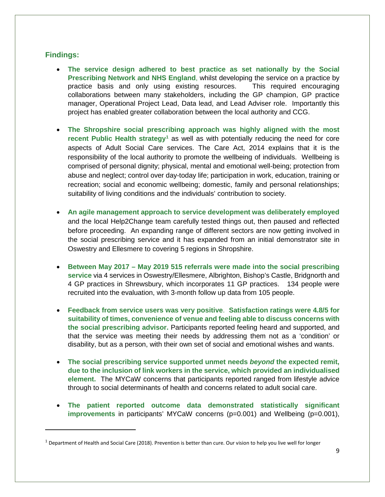### **Findings:**

- **The service design adhered to best practice as set nationally by the Social Prescribing Network and NHS England**, whilst developing the service on a practice by practice basis and only using existing resources. This required encouraging collaborations between many stakeholders, including the GP champion, GP practice manager, Operational Project Lead, Data lead, and Lead Adviser role. Importantly this project has enabled greater collaboration between the local authority and CCG.
- **The Shropshire social prescribing approach was highly aligned with the most recent Public Health strategy[1](#page-8-0)** as well as with potentially reducing the need for core aspects of Adult Social Care services. The Care Act, 2014 explains that it is the responsibility of the local authority to promote the wellbeing of individuals. Wellbeing is comprised of personal dignity; physical, mental and emotional well-being; protection from abuse and neglect; control over day-today life; participation in work, education, training or recreation; social and economic wellbeing; domestic, family and personal relationships; suitability of living conditions and the individuals' contribution to society.
- **An agile management approach to service development was deliberately employed** and the local Help2Change team carefully tested things out, then paused and reflected before proceeding. An expanding range of different sectors are now getting involved in the social prescribing service and it has expanded from an initial demonstrator site in Oswestry and Ellesmere to covering 5 regions in Shropshire.
- **Between May 2017 – May 2019 515 referrals were made into the social prescribing service** via 4 services in Oswestry/Ellesmere, Albrighton, Bishop's Castle, Bridgnorth and 4 GP practices in Shrewsbury, which incorporates 11 GP practices. 134 people were recruited into the evaluation, with 3-month follow up data from 105 people.
- **Feedback from service users was very positive**. **Satisfaction ratings were 4.8/5 for suitability of times, convenience of venue and feeling able to discuss concerns with the social prescribing advisor.** Participants reported feeling heard and supported, and that the service was meeting their needs by addressing them not as a 'condition' or disability, but as a person, with their own set of social and emotional wishes and wants.
- **The social prescribing service supported unmet needs** *beyond* **the expected remit, due to the inclusion of link workers in the service, which provided an individualised element.** The MYCaW concerns that participants reported ranged from lifestyle advice through to social determinants of health and concerns related to adult social care.
- **The patient reported outcome data demonstrated statistically significant improvements** in participants' MYCaW concerns (p=0.001) and Wellbeing (p=0.001),

<span id="page-8-0"></span> $1$  Department of Health and Social Care (2018). Prevention is better than cure. Our vision to help you live well for longer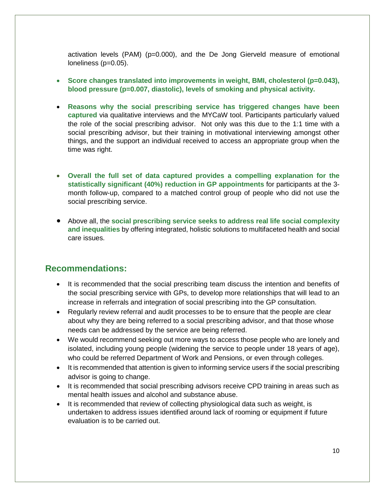activation levels (PAM) (p=0.000), and the De Jong Gierveld measure of emotional loneliness (p=0.05).

- Score changes translated into improvements in weight, BMI, cholesterol (p=0.043), **blood pressure (p=0.007, diastolic), levels of smoking and physical activity.**
- **Reasons why the social prescribing service has triggered changes have been captured** via qualitative interviews and the MYCaW tool. Participants particularly valued the role of the social prescribing advisor. Not only was this due to the 1:1 time with a social prescribing advisor, but their training in motivational interviewing amongst other things, and the support an individual received to access an appropriate group when the time was right.
- **Overall the full set of data captured provides a compelling explanation for the statistically significant (40%) reduction in GP appointments** for participants at the 3 month follow-up, compared to a matched control group of people who did not use the social prescribing service.
- Above all, the **social prescribing service seeks to address real life social complexity and inequalities** by offering integrated, holistic solutions to multifaceted health and social care issues.

# **Recommendations:**

- It is recommended that the social prescribing team discuss the intention and benefits of the social prescribing service with GPs, to develop more relationships that will lead to an increase in referrals and integration of social prescribing into the GP consultation.
- Regularly review referral and audit processes to be to ensure that the people are clear about why they are being referred to a social prescribing advisor, and that those whose needs can be addressed by the service are being referred.
- We would recommend seeking out more ways to access those people who are lonely and isolated, including young people (widening the service to people under 18 years of age), who could be referred Department of Work and Pensions, or even through colleges.
- It is recommended that attention is given to informing service users if the social prescribing advisor is going to change.
- It is recommended that social prescribing advisors receive CPD training in areas such as mental health issues and alcohol and substance abuse.
- It is recommended that review of collecting physiological data such as weight, is undertaken to address issues identified around lack of rooming or equipment if future evaluation is to be carried out.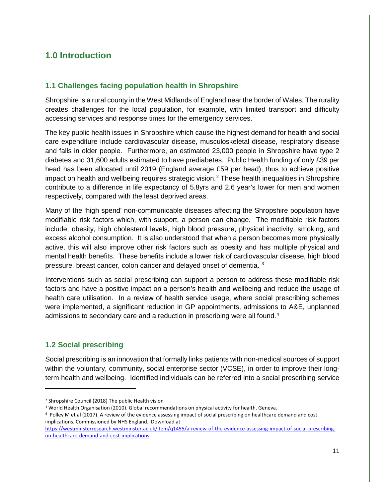# **1.0 Introduction**

### **1.1 Challenges facing population health in Shropshire**

Shropshire is a rural county in the West Midlands of England near the border of Wales. The rurality creates challenges for the local population, for example, with limited transport and difficulty accessing services and response times for the emergency services.

The key public health issues in Shropshire which cause the highest demand for health and social care expenditure include cardiovascular disease, musculoskeletal disease, respiratory disease and falls in older people. Furthermore, an estimated 23,000 people in Shropshire have type 2 diabetes and 31,600 adults estimated to have prediabetes. Public Health funding of only £39 per head has been allocated until 2019 (England average £59 per head); thus to achieve positive impact on health and wellbeing requires strategic vision. [2](#page-10-0) These health inequalities in Shropshire contribute to a difference in life expectancy of 5.8yrs and 2.6 year's lower for men and women respectively, compared with the least deprived areas.

Many of the 'high spend' non-communicable diseases affecting the Shropshire population have modifiable risk factors which, with support, a person can change. The modifiable risk factors include, obesity, high cholesterol levels, high blood pressure, physical inactivity, smoking, and excess alcohol consumption. It is also understood that when a person becomes more physically active, this will also improve other risk factors such as obesity and has multiple physical and mental health benefits. These benefits include a lower risk of cardiovascular disease, high blood pressure, breast cancer, colon cancer and delayed onset of dementia. [3](#page-10-1)

Interventions such as social prescribing can support a person to address these modifiable risk factors and have a positive impact on a person's health and wellbeing and reduce the usage of health care utilisation. In a review of health service usage, where social prescribing schemes were implemented, a significant reduction in GP appointments, admissions to A&E, unplanned admissions to secondary care and a reduction in prescribing were all found. [4](#page-10-2)

### **1.2 Social prescribing**

l

Social prescribing is an innovation that formally links patients with non-medical sources of support within the voluntary, community, social enterprise sector (VCSE), in order to improve their longterm health and wellbeing. Identified individuals can be referred into a social prescribing service

<span id="page-10-0"></span><sup>2</sup> Shropshire Council (2018) The public Health vision

<span id="page-10-1"></span><sup>&</sup>lt;sup>3</sup> World Health Organisation (2010). Global recommendations on physical activity for health. Geneva.<br><sup>4</sup> Polley M et al (2017). A review of the evidence assessing impact of social prescribing on healthcare demand and cost

<span id="page-10-2"></span>implications. Commissioned by NHS England. Download at

[https://westminsterresearch.westminster.ac.uk/item/q1455/a-review-of-the-evidence-assessing-impact-of-social-prescribing](https://westminsterresearch.westminster.ac.uk/item/q1455/a-review-of-the-evidence-assessing-impact-of-social-prescribing-on-healthcare-demand-and-cost-implications)[on-healthcare-demand-and-cost-implications](https://westminsterresearch.westminster.ac.uk/item/q1455/a-review-of-the-evidence-assessing-impact-of-social-prescribing-on-healthcare-demand-and-cost-implications)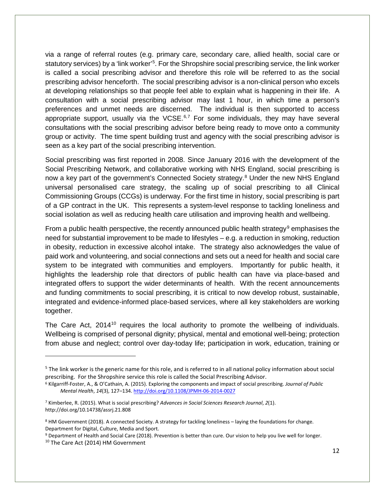via a range of referral routes (e.g. primary care, secondary care, allied health, social care or statutory services) by a 'link worker'<sup>[5](#page-11-0)</sup>. For the Shropshire social prescribing service, the link worker is called a social prescribing advisor and therefore this role will be referred to as the social prescribing advisor henceforth. The social prescribing advisor is a non-clinical person who excels at developing relationships so that people feel able to explain what is happening in their life. A consultation with a social prescribing advisor may last 1 hour, in which time a person's preferences and unmet needs are discerned. The individual is then supported to access appropriate support, usually via the VCSE.<sup>[6](#page-11-1),[7](#page-11-2)</sup> For some individuals, they may have several consultations with the social prescribing advisor before being ready to move onto a community group or activity. The time spent building trust and agency with the social prescribing advisor is seen as a key part of the social prescribing intervention.

Social prescribing was first reported in 2008. Since January 2016 with the development of the Social Prescribing Network, and collaborative working with NHS England, social prescribing is now a key part of the government's Connected Society strategy. [8](#page-11-3) Under the new NHS England universal personalised care strategy, the scaling up of social prescribing to all Clinical Commissioning Groups (CCGs) is underway. For the first time in history, social prescribing is part of a GP contract in the UK. This represents a system-level response to tackling loneliness and social isolation as well as reducing health care utilisation and improving health and wellbeing.

From a public health perspective, the recently announced public health strategy<sup>[9](#page-11-4)</sup> emphasises the need for substantial improvement to be made to lifestyles – e.g. a reduction in smoking, reduction in obesity, reduction in excessive alcohol intake. The strategy also acknowledges the value of paid work and volunteering, and social connections and sets out a need for health and social care system to be integrated with communities and employers. Importantly for public health, it highlights the leadership role that directors of public health can have via place-based and integrated offers to support the wider determinants of health. With the recent announcements and funding commitments to social prescribing, it is critical to now develop robust, sustainable, integrated and evidence-informed place-based services, where all key stakeholders are working together.

The Care Act, 2014<sup>[10](#page-11-5)</sup> requires the local authority to promote the wellbeing of individuals. Wellbeing is comprised of personal dignity; physical, mental and emotional well-being; protection from abuse and neglect; control over day-today life; participation in work, education, training or

<span id="page-11-0"></span> $5$  The link worker is the generic name for this role, and is referred to in all national policy information about social prescribing. For the Shropshire service this role is called the Social Prescribing Advisor.

<span id="page-11-1"></span><sup>6</sup> Kilgarriff-Foster, A., & O'Cathain, A. (2015). Exploring the components and impact of social prescribing. *Journal of Public Mental Health*, *14*(3), 127–134[. http://doi.org/10.1108/JPMH-06-2014-0027](http://doi.org/10.1108/JPMH-06-2014-0027)

<span id="page-11-2"></span><sup>7</sup> Kimberlee, R. (2015). What is social prescribing? *Advances in Social Sciences Research Journal*, *2*(1). http://doi.org/10.14738/assrj.21.808

<span id="page-11-3"></span><sup>8</sup> HM Government (2018). A connected Society. A strategy for tackling loneliness – laying the foundations for change. Department for Digital, Culture, Media and Sport.

<span id="page-11-5"></span><span id="page-11-4"></span><sup>9</sup> Department of Health and Social Care (2018). Prevention is better than cure. Our vision to help you live well for longer. <sup>10</sup> The Care Act (2014) HM Government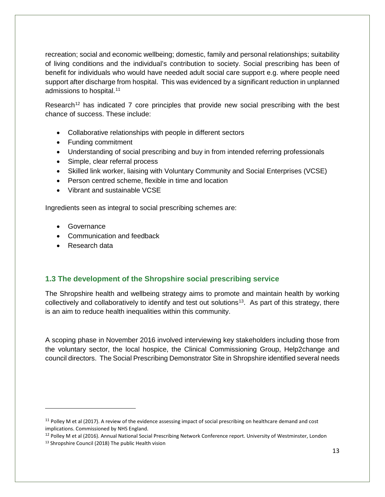recreation; social and economic wellbeing; domestic, family and personal relationships; suitability of living conditions and the individual's contribution to society. Social prescribing has been of benefit for individuals who would have needed adult social care support e.g. where people need support after discharge from hospital. This was evidenced by a significant reduction in unplanned admissions to hospital. [11](#page-12-0)

Research<sup>[12](#page-12-1)</sup> has indicated 7 core principles that provide new social prescribing with the best chance of success. These include:

- Collaborative relationships with people in different sectors
- Funding commitment
- Understanding of social prescribing and buy in from intended referring professionals
- Simple, clear referral process
- Skilled link worker, liaising with Voluntary Community and Social Enterprises (VCSE)
- Person centred scheme, flexible in time and location
- Vibrant and sustainable VCSE

Ingredients seen as integral to social prescribing schemes are:

- Governance
- Communication and feedback
- Research data

### **1.3 The development of the Shropshire social prescribing service**

The Shropshire health and wellbeing strategy aims to promote and maintain health by working collectively and collaboratively to identify and test out solutions<sup>13</sup>. As part of this strategy, there is an aim to reduce health inequalities within this community.

A scoping phase in November 2016 involved interviewing key stakeholders including those from the voluntary sector, the local hospice, the Clinical Commissioning Group, Help2change and council directors. The Social Prescribing Demonstrator Site in Shropshire identified several needs

<span id="page-12-2"></span>13 Shropshire Council (2018) The public Health vision

<span id="page-12-0"></span> $11$  Polley M et al (2017). A review of the evidence assessing impact of social prescribing on healthcare demand and cost implications. Commissioned by NHS England.

<span id="page-12-1"></span><sup>&</sup>lt;sup>12</sup> Polley M et al (2016). Annual National Social Prescribing Network Conference report. University of Westminster, London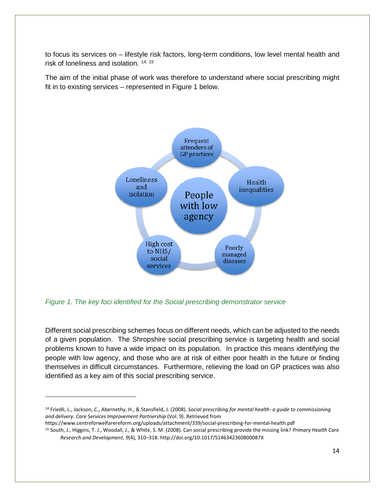to focus its services on – lifestyle risk factors, long-term conditions, low level mental health and risk of loneliness and isolation. <sup>[14](#page-13-0), [15](#page-13-1)</sup>

The aim of the initial phase of work was therefore to understand where social prescribing might fit in to existing services – represented in Figure 1 below.



*Figure 1. The key foci identified for the Social prescribing demonstrator service*

Different social prescribing schemes focus on different needs, which can be adjusted to the needs of a given population. The Shropshire social prescribing service is targeting health and social problems known to have a wide impact on its population. In practice this means identifying the people with low agency, and those who are at risk of either poor health in the future or finding themselves in difficult circumstances. Furthermore, relieving the load on GP practices was also identified as a key aim of this social prescribing service.

https://www.centreforwelfarereform.org/uploads/attachment/339/social-prescribing-for-mental-health.pdf

<span id="page-13-0"></span><sup>14</sup> Friedli, L., Jackson, C., Abernethy, H., & Stansfield, J. (2008). *Social prescribing for mental health- a guide to commissioning and delivery*. *Care Services Improvement Partnership* (Vol. 9). Retrieved from

<span id="page-13-1"></span><sup>15</sup> South, J., Higgins, T. J., Woodall, J., & White, S. M. (2008). Can social prescribing provide the missing link? *Primary Health Care Research and Development*, *9*(4), 310–318. http://doi.org/10.1017/S146342360800087X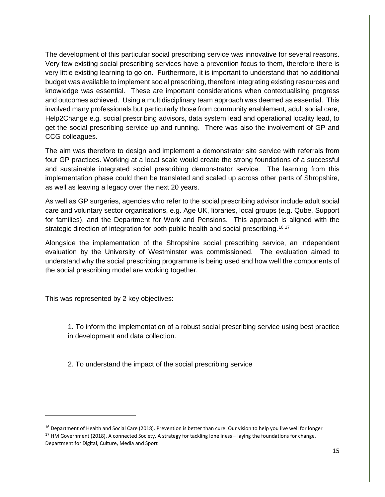The development of this particular social prescribing service was innovative for several reasons. Very few existing social prescribing services have a prevention focus to them, therefore there is very little existing learning to go on. Furthermore, it is important to understand that no additional budget was available to implement social prescribing, therefore integrating existing resources and knowledge was essential. These are important considerations when contextualising progress and outcomes achieved. Using a multidisciplinary team approach was deemed as essential. This involved many professionals but particularly those from community enablement, adult social care, Help2Change e.g. social prescribing advisors, data system lead and operational locality lead, to get the social prescribing service up and running. There was also the involvement of GP and CCG colleagues.

The aim was therefore to design and implement a demonstrator site service with referrals from four GP practices. Working at a local scale would create the strong foundations of a successful and sustainable integrated social prescribing demonstrator service. The learning from this implementation phase could then be translated and scaled up across other parts of Shropshire, as well as leaving a legacy over the next 20 years.

As well as GP surgeries, agencies who refer to the social prescribing advisor include adult social care and voluntary sector organisations, e.g. Age UK, libraries, local groups (e.g. Qube, Support for families), and the Department for Work and Pensions. This approach is aligned with the strategic direction of integration for both public health and social prescribing.<sup>[16,](#page-14-0)[17](#page-14-1)</sup>

Alongside the implementation of the Shropshire social prescribing service, an independent evaluation by the University of Westminster was commissioned. The evaluation aimed to understand why the social prescribing programme is being used and how well the components of the social prescribing model are working together.

This was represented by 2 key objectives:

 $\overline{\phantom{a}}$ 

1. To inform the implementation of a robust social prescribing service using best practice in development and data collection.

2. To understand the impact of the social prescribing service

<span id="page-14-1"></span><span id="page-14-0"></span><sup>&</sup>lt;sup>16</sup> Department of Health and Social Care (2018). Prevention is better than cure. Our vision to help you live well for longer <sup>17</sup> HM Government (2018). A connected Society. A strategy for tackling loneliness – laying the foundations for change. Department for Digital, Culture, Media and Sport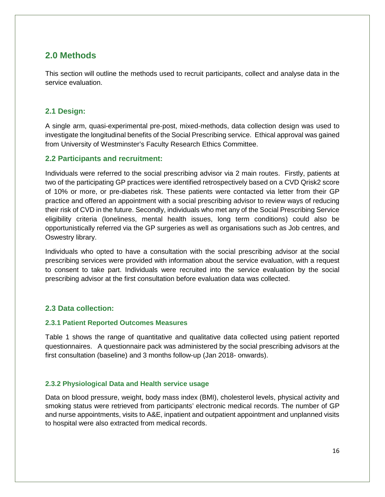# **2.0 Methods**

This section will outline the methods used to recruit participants, collect and analyse data in the service evaluation.

### **2.1 Design:**

A single arm, quasi-experimental pre-post, mixed-methods, data collection design was used to investigate the longitudinal benefits of the Social Prescribing service. Ethical approval was gained from University of Westminster's Faculty Research Ethics Committee.

### **2.2 Participants and recruitment:**

Individuals were referred to the social prescribing advisor via 2 main routes. Firstly, patients at two of the participating GP practices were identified retrospectively based on a CVD Qrisk2 score of 10% or more, or pre-diabetes risk. These patients were contacted via letter from their GP practice and offered an appointment with a social prescribing advisor to review ways of reducing their risk of CVD in the future. Secondly, individuals who met any of the Social Prescribing Service eligibility criteria (loneliness, mental health issues, long term conditions) could also be opportunistically referred via the GP surgeries as well as organisations such as Job centres, and Oswestry library.

Individuals who opted to have a consultation with the social prescribing advisor at the social prescribing services were provided with information about the service evaluation, with a request to consent to take part. Individuals were recruited into the service evaluation by the social prescribing advisor at the first consultation before evaluation data was collected.

### **2.3 Data collection:**

### **2.3.1 Patient Reported Outcomes Measures**

Table 1 shows the range of quantitative and qualitative data collected using patient reported questionnaires. A questionnaire pack was administered by the social prescribing advisors at the first consultation (baseline) and 3 months follow-up (Jan 2018- onwards).

### **2.3.2 Physiological Data and Health service usage**

Data on blood pressure, weight, body mass index (BMI), cholesterol levels, physical activity and smoking status were retrieved from participants' electronic medical records. The number of GP and nurse appointments, visits to A&E, inpatient and outpatient appointment and unplanned visits to hospital were also extracted from medical records.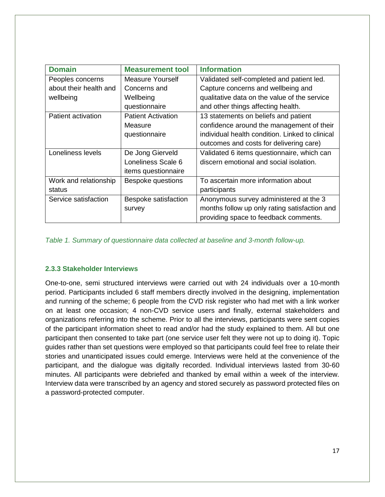| <b>Domain</b>          | <b>Measurement tool</b>   | <b>Information</b>                              |
|------------------------|---------------------------|-------------------------------------------------|
| Peoples concerns       | Measure Yourself          | Validated self-completed and patient led.       |
| about their health and | Concerns and              | Capture concerns and wellbeing and              |
| wellbeing              | Wellbeing                 | qualitative data on the value of the service    |
|                        | questionnaire             | and other things affecting health.              |
| Patient activation     | <b>Patient Activation</b> | 13 statements on beliefs and patient            |
|                        | Measure                   | confidence around the management of their       |
|                        | questionnaire             | individual health condition. Linked to clinical |
|                        |                           | outcomes and costs for delivering care)         |
| Loneliness levels      | De Jong Gierveld          | Validated 6 items questionnaire, which can      |
|                        | Loneliness Scale 6        | discern emotional and social isolation.         |
|                        | items questionnaire       |                                                 |
| Work and relationship  | Bespoke questions         | To ascertain more information about             |
| status                 |                           | participants                                    |
| Service satisfaction   | Bespoke satisfaction      | Anonymous survey administered at the 3          |
|                        | survey                    | months follow up only rating satisfaction and   |
|                        |                           | providing space to feedback comments.           |

*Table 1. Summary of questionnaire data collected at baseline and 3-month follow-up.*

### **2.3.3 Stakeholder Interviews**

One-to-one, semi structured interviews were carried out with 24 individuals over a 10-month period. Participants included 6 staff members directly involved in the designing, implementation and running of the scheme; 6 people from the CVD risk register who had met with a link worker on at least one occasion; 4 non-CVD service users and finally, external stakeholders and organizations referring into the scheme. Prior to all the interviews, participants were sent copies of the participant information sheet to read and/or had the study explained to them. All but one participant then consented to take part (one service user felt they were not up to doing it). Topic guides rather than set questions were employed so that participants could feel free to relate their stories and unanticipated issues could emerge. Interviews were held at the convenience of the participant, and the dialogue was digitally recorded. Individual interviews lasted from 30-60 minutes. All participants were debriefed and thanked by email within a week of the interview. Interview data were transcribed by an agency and stored securely as password protected files on a password-protected computer.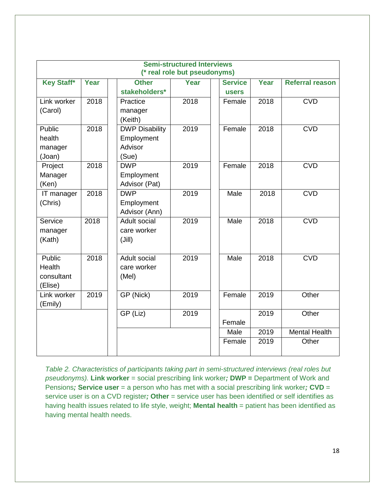| <b>Semi-structured Interviews</b><br>(* real role but pseudonyms) |      |                                                         |      |  |                                |      |                        |
|-------------------------------------------------------------------|------|---------------------------------------------------------|------|--|--------------------------------|------|------------------------|
| <b>Key Staff*</b>                                                 | Year | <b>Other</b><br>stakeholders*                           | Year |  | <b>Service</b><br><b>users</b> | Year | <b>Referral reason</b> |
| Link worker<br>(Carol)                                            | 2018 | Practice<br>manager<br>(Keith)                          | 2018 |  | Female                         | 2018 | <b>CVD</b>             |
| Public<br>health<br>manager<br>(Joan)                             | 2018 | <b>DWP Disability</b><br>Employment<br>Advisor<br>(Sue) | 2019 |  | Female                         | 2018 | <b>CVD</b>             |
| Project<br>Manager<br>(Ken)                                       | 2018 | <b>DWP</b><br>Employment<br>Advisor (Pat)               | 2019 |  | Female                         | 2018 | <b>CVD</b>             |
| IT manager<br>(Chris)                                             | 2018 | <b>DWP</b><br>Employment<br>Advisor (Ann)               | 2019 |  | Male                           | 2018 | <b>CVD</b>             |
| Service<br>manager<br>(Kath)                                      | 2018 | <b>Adult social</b><br>care worker<br>(Jill)            | 2019 |  | Male                           | 2018 | <b>CVD</b>             |
| Public<br>Health<br>consultant<br>(Elise)                         | 2018 | Adult social<br>care worker<br>(Mel)                    | 2019 |  | Male                           | 2018 | <b>CVD</b>             |
| Link worker<br>(Emily)                                            | 2019 | GP (Nick)                                               | 2019 |  | Female                         | 2019 | Other                  |
|                                                                   |      | GP (Liz)                                                | 2019 |  | Female                         | 2019 | Other                  |
|                                                                   |      |                                                         |      |  | Male                           | 2019 | <b>Mental Health</b>   |
|                                                                   |      |                                                         |      |  | Female                         | 2019 | Other                  |

*Table 2. Characteristics of participants taking part in semi-structured interviews (real roles but pseudonyms).* **Link worker** = social prescribing link worker*;* **DWP =** Department of Work and Pensions*;* **Service user** = a person who has met with a social prescribing link worker*;* **CVD** = service user is on a CVD register*;* **Other** = service user has been identified or self identifies as having health issues related to life style, weight; **Mental health** = patient has been identified as having mental health needs.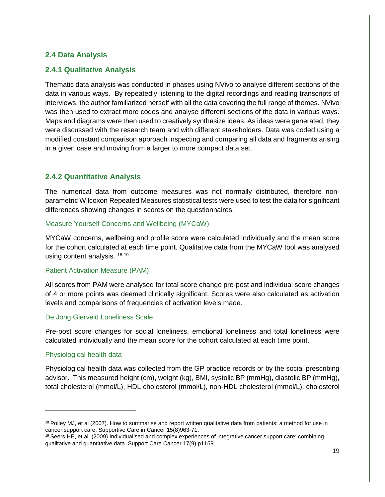### **2.4 Data Analysis**

### **2.4.1 Qualitative Analysis**

Thematic data analysis was conducted in phases using NVivo to analyse different sections of the data in various ways. By repeatedly listening to the digital recordings and reading transcripts of interviews, the author familiarized herself with all the data covering the full range of themes. NVivo was then used to extract more codes and analyse different sections of the data in various ways. Maps and diagrams were then used to creatively synthesize ideas. As ideas were generated, they were discussed with the research team and with different stakeholders. Data was coded using a modified constant comparison approach inspecting and comparing all data and fragments arising in a given case and moving from a larger to more compact data set.

### **2.4.2 Quantitative Analysis**

The numerical data from outcome measures was not normally distributed, therefore nonparametric Wilcoxon Repeated Measures statistical tests were used to test the data for significant differences showing changes in scores on the questionnaires.

#### Measure Yourself Concerns and Wellbeing (MYCaW)

MYCaW concerns, wellbeing and profile score were calculated individually and the mean score for the cohort calculated at each time point. Qualitative data from the MYCaW tool was analysed using content analysis. [18,](#page-18-0)[19](#page-18-1)

#### Patient Activation Measure (PAM)

All scores from PAM were analysed for total score change pre-post and individual score changes of 4 or more points was deemed clinically significant. Scores were also calculated as activation levels and comparisons of frequencies of activation levels made.

### De Jong Gierveld Loneliness Scale

Pre-post score changes for social loneliness, emotional loneliness and total loneliness were calculated individually and the mean score for the cohort calculated at each time point.

### Physiological health data

 $\overline{\phantom{a}}$ 

Physiological health data was collected from the GP practice records or by the social prescribing advisor. This measured height (cm), weight (kg), BMI, systolic BP (mmHg), diastolic BP (mmHg), total cholesterol (mmol/L), HDL cholesterol (mmol/L), non-HDL cholesterol (mmol/L), cholesterol

<span id="page-18-0"></span><sup>18</sup> Polley MJ, et al (2007). How to summarise and report written qualitative data from patients: a method for use in cancer support care. Supportive Care in Cancer 15(8)963-71.

<span id="page-18-1"></span><sup>19</sup> Seers HE, et al. (2009) Individualised and complex experiences of integrative cancer support care: combining qualitative and quantitative data. Support Care Cancer.17(9) p1159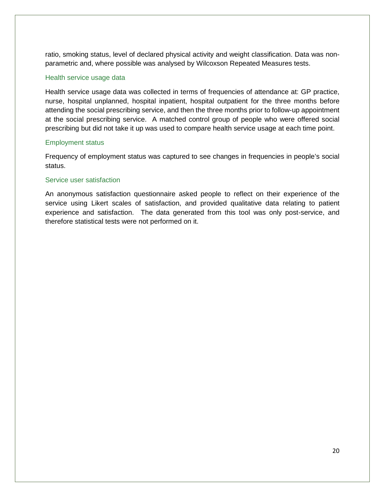ratio, smoking status, level of declared physical activity and weight classification. Data was nonparametric and, where possible was analysed by Wilcoxson Repeated Measures tests.

#### Health service usage data

Health service usage data was collected in terms of frequencies of attendance at: GP practice, nurse, hospital unplanned, hospital inpatient, hospital outpatient for the three months before attending the social prescribing service, and then the three months prior to follow-up appointment at the social prescribing service. A matched control group of people who were offered social prescribing but did not take it up was used to compare health service usage at each time point.

#### Employment status

Frequency of employment status was captured to see changes in frequencies in people's social status.

#### Service user satisfaction

An anonymous satisfaction questionnaire asked people to reflect on their experience of the service using Likert scales of satisfaction, and provided qualitative data relating to patient experience and satisfaction. The data generated from this tool was only post-service, and therefore statistical tests were not performed on it.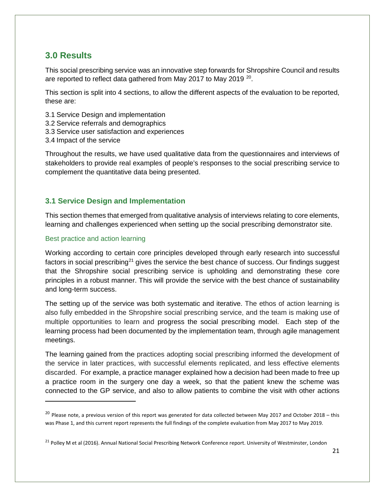# **3.0 Results**

This social prescribing service was an innovative step forwards for Shropshire Council and results are reported to reflect data gathered from May [20](#page-20-0)17 to May 2019 <sup>20</sup>.

This section is split into 4 sections, to allow the different aspects of the evaluation to be reported, these are:

- 3.1 Service Design and implementation
- 3.2 Service referrals and demographics
- 3.3 Service user satisfaction and experiences
- 3.4 Impact of the service

Throughout the results, we have used qualitative data from the questionnaires and interviews of stakeholders to provide real examples of people's responses to the social prescribing service to complement the quantitative data being presented.

### **3.1 Service Design and Implementation**

This section themes that emerged from qualitative analysis of interviews relating to core elements, learning and challenges experienced when setting up the social prescribing demonstrator site.

#### Best practice and action learning

 $\overline{\phantom{a}}$ 

Working according to certain core principles developed through early research into successful factors in social prescribing<sup>[21](#page-20-1)</sup> gives the service the best chance of success. Our findings suggest that the Shropshire social prescribing service is upholding and demonstrating these core principles in a robust manner. This will provide the service with the best chance of sustainability and long-term success.

The setting up of the service was both systematic and iterative. The ethos of action learning is also fully embedded in the Shropshire social prescribing service, and the team is making use of multiple opportunities to learn and progress the social prescribing model. Each step of the learning process had been documented by the implementation team, through agile management meetings.

The learning gained from the practices adopting social prescribing informed the development of the service in later practices, with successful elements replicated, and less effective elements discarded. For example, a practice manager explained how a decision had been made to free up a practice room in the surgery one day a week, so that the patient knew the scheme was connected to the GP service, and also to allow patients to combine the visit with other actions

<span id="page-20-0"></span> $^{20}$  Please note, a previous version of this report was generated for data collected between May 2017 and October 2018 – this was Phase 1, and this current report represents the full findings of the complete evaluation from May 2017 to May 2019.

<span id="page-20-1"></span><sup>&</sup>lt;sup>21</sup> Polley M et al (2016). Annual National Social Prescribing Network Conference report. University of Westminster, London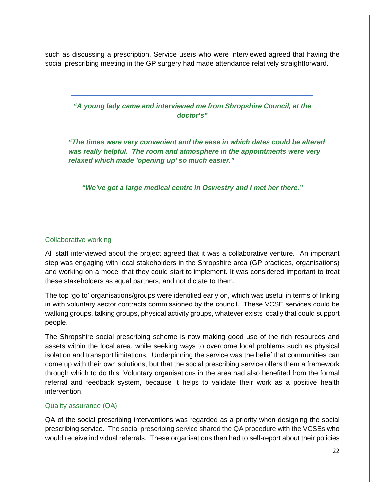such as discussing a prescription. Service users who were interviewed agreed that having the social prescribing meeting in the GP surgery had made attendance relatively straightforward.

> *"A young lady came and interviewed me from Shropshire Council, at the doctor's"*

*"The times were very convenient and the ease in which dates could be altered was really helpful. The room and atmosphere in the appointments were very relaxed which made 'opening up' so much easier."*

*"We've got a large medical centre in Oswestry and I met her there."* 

#### Collaborative working

All staff interviewed about the project agreed that it was a collaborative venture. An important step was engaging with local stakeholders in the Shropshire area (GP practices, organisations) and working on a model that they could start to implement. It was considered important to treat these stakeholders as equal partners, and not dictate to them.

The top 'go to' organisations/groups were identified early on, which was useful in terms of linking in with voluntary sector contracts commissioned by the council. These VCSE services could be walking groups, talking groups, physical activity groups, whatever exists locally that could support people.

The Shropshire social prescribing scheme is now making good use of the rich resources and assets within the local area, while seeking ways to overcome local problems such as physical isolation and transport limitations. Underpinning the service was the belief that communities can come up with their own solutions, but that the social prescribing service offers them a framework through which to do this. Voluntary organisations in the area had also benefited from the formal referral and feedback system, because it helps to validate their work as a positive health intervention.

#### Quality assurance (QA)

QA of the social prescribing interventions was regarded as a priority when designing the social prescribing service. The social prescribing service shared the QA procedure with the VCSEs who would receive individual referrals. These organisations then had to self-report about their policies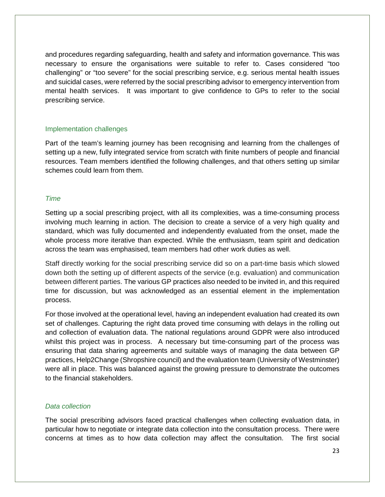and procedures regarding safeguarding, health and safety and information governance. This was necessary to ensure the organisations were suitable to refer to. Cases considered "too challenging" or "too severe" for the social prescribing service, e.g. serious mental health issues and suicidal cases, were referred by the social prescribing advisor to emergency intervention from mental health services. It was important to give confidence to GPs to refer to the social prescribing service.

### Implementation challenges

Part of the team's learning journey has been recognising and learning from the challenges of setting up a new, fully integrated service from scratch with finite numbers of people and financial resources. Team members identified the following challenges, and that others setting up similar schemes could learn from them.

### *Time*

Setting up a social prescribing project, with all its complexities, was a time-consuming process involving much learning in action. The decision to create a service of a very high quality and standard, which was fully documented and independently evaluated from the onset, made the whole process more iterative than expected. While the enthusiasm, team spirit and dedication across the team was emphasised, team members had other work duties as well.

Staff directly working for the social prescribing service did so on a part-time basis which slowed down both the setting up of different aspects of the service (e.g. evaluation) and communication between different parties. The various GP practices also needed to be invited in, and this required time for discussion, but was acknowledged as an essential element in the implementation process.

For those involved at the operational level, having an independent evaluation had created its own set of challenges. Capturing the right data proved time consuming with delays in the rolling out and collection of evaluation data. The national regulations around GDPR were also introduced whilst this project was in process. A necessary but time-consuming part of the process was ensuring that data sharing agreements and suitable ways of managing the data between GP practices, Help2Change (Shropshire council) and the evaluation team (University of Westminster) were all in place. This was balanced against the growing pressure to demonstrate the outcomes to the financial stakeholders.

#### *Data collection*

The social prescribing advisors faced practical challenges when collecting evaluation data, in particular how to negotiate or integrate data collection into the consultation process. There were concerns at times as to how data collection may affect the consultation. The first social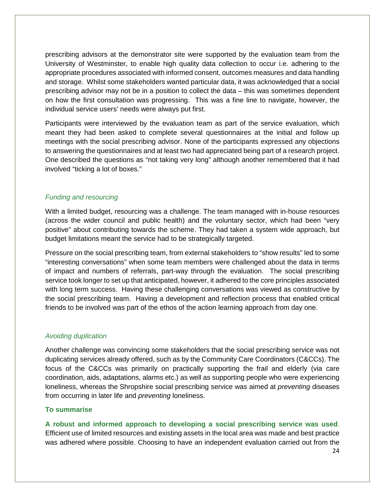prescribing advisors at the demonstrator site were supported by the evaluation team from the University of Westminster, to enable high quality data collection to occur i.e. adhering to the appropriate procedures associated with informed consent, outcomes measures and data handling and storage. Whilst some stakeholders wanted particular data, it was acknowledged that a social prescribing advisor may not be in a position to collect the data – this was sometimes dependent on how the first consultation was progressing. This was a fine line to navigate, however, the individual service users' needs were always put first.

Participants were interviewed by the evaluation team as part of the service evaluation, which meant they had been asked to complete several questionnaires at the initial and follow up meetings with the social prescribing advisor. None of the participants expressed any objections to answering the questionnaires and at least two had appreciated being part of a research project. One described the questions as "not taking very long" although another remembered that it had involved "ticking a lot of boxes."

### *Funding and resourcing*

With a limited budget, resourcing was a challenge. The team managed with in-house resources (across the wider council and public health) and the voluntary sector, which had been "very positive" about contributing towards the scheme. They had taken a system wide approach, but budget limitations meant the service had to be strategically targeted.

Pressure on the social prescribing team, from external stakeholders to "show results" led to some "interesting conversations" when some team members were challenged about the data in terms of impact and numbers of referrals, part-way through the evaluation. The social prescribing service took longer to set up that anticipated, however, it adhered to the core principles associated with long term success. Having these challenging conversations was viewed as constructive by the social prescribing team. Having a development and reflection process that enabled critical friends to be involved was part of the ethos of the action learning approach from day one.

#### *Avoiding duplication*

Another challenge was convincing some stakeholders that the social prescribing service was not duplicating services already offered, such as by the Community Care Coordinators (C&CCs). The focus of the C&CCs was primarily on practically supporting the frail and elderly (via care coordination, aids, adaptations, alarms etc.) as well as supporting people who were experiencing loneliness, whereas the Shropshire social prescribing service was aimed at *preventing* diseases from occurring in later life and *preventing* loneliness.

#### **To summarise**

**A robust and informed approach to developing a social prescribing service was used**. Efficient use of limited resources and existing assets in the local area was made and best practice was adhered where possible. Choosing to have an independent evaluation carried out from the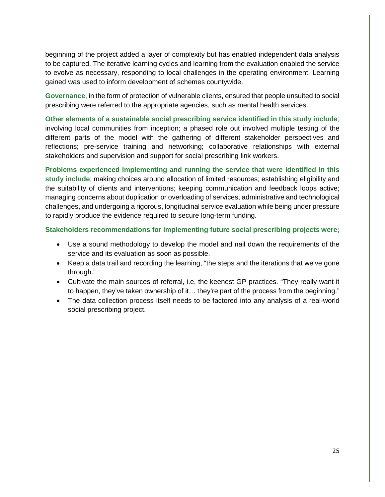beginning of the project added a layer of complexity but has enabled independent data analysis to be captured. The iterative learning cycles and learning from the evaluation enabled the service to evolve as necessary, responding to local challenges in the operating environment. Learning gained was used to inform development of schemes countywide.

**Governance**, in the form of protection of vulnerable clients, ensured that people unsuited to social prescribing were referred to the appropriate agencies, such as mental health services.

**Other elements of a sustainable social prescribing service identified in this study include**; involving local communities from inception; a phased role out involved multiple testing of the different parts of the model with the gathering of different stakeholder perspectives and reflections; pre-service training and networking; collaborative relationships with external stakeholders and supervision and support for social prescribing link workers.

**Problems experienced implementing and running the service that were identified in this study include**; making choices around allocation of limited resources; establishing eligibility and the suitability of clients and interventions; keeping communication and feedback loops active; managing concerns about duplication or overloading of services, administrative and technological challenges, and undergoing a rigorous, longitudinal service evaluation while being under pressure to rapidly produce the evidence required to secure long-term funding.

**Stakeholders recommendations for implementing future social prescribing projects were;**

- Use a sound methodology to develop the model and nail down the requirements of the service and its evaluation as soon as possible.
- Keep a data trail and recording the learning, "the steps and the iterations that we've gone through."
- Cultivate the main sources of referral, i.e. the keenest GP practices. "They really want it to happen, they've taken ownership of it… they're part of the process from the beginning."
- The data collection process itself needs to be factored into any analysis of a real-world social prescribing project.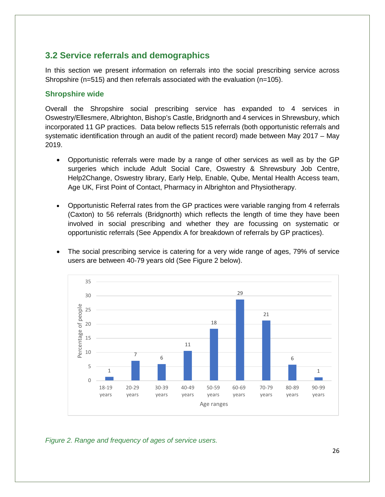# **3.2 Service referrals and demographics**

In this section we present information on referrals into the social prescribing service across Shropshire ( $n=515$ ) and then referrals associated with the evaluation ( $n=105$ ).

### **Shropshire wide**

Overall the Shropshire social prescribing service has expanded to 4 services in Oswestry/Ellesmere, Albrighton, Bishop's Castle, Bridgnorth and 4 services in Shrewsbury, which incorporated 11 GP practices. Data below reflects 515 referrals (both opportunistic referrals and systematic identification through an audit of the patient record) made between May 2017 – May 2019.

- Opportunistic referrals were made by a range of other services as well as by the GP surgeries which include Adult Social Care, Oswestry & Shrewsbury Job Centre, Help2Change, Oswestry library, Early Help, Enable, Qube, Mental Health Access team, Age UK, First Point of Contact, Pharmacy in Albrighton and Physiotherapy.
- Opportunistic Referral rates from the GP practices were variable ranging from 4 referrals (Caxton) to 56 referrals (Bridgnorth) which reflects the length of time they have been involved in social prescribing and whether they are focussing on systematic or opportunistic referrals (See Appendix A for breakdown of referrals by GP practices).
- The social prescribing service is catering for a very wide range of ages, 79% of service users are between 40-79 years old (See Figure 2 below).



*Figure 2. Range and frequency of ages of service users.*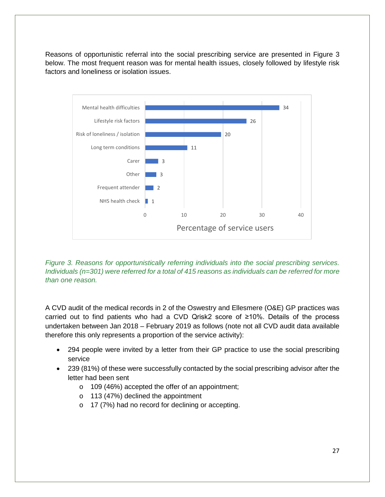Reasons of opportunistic referral into the social prescribing service are presented in Figure 3 below. The most frequent reason was for mental health issues, closely followed by lifestyle risk factors and loneliness or isolation issues.



*Figure 3. Reasons for opportunistically referring individuals into the social prescribing services. Individuals (n=301) were referred for a total of 415 reasons as individuals can be referred for more than one reason.*

A CVD audit of the medical records in 2 of the Oswestry and Ellesmere (O&E) GP practices was carried out to find patients who had a CVD Qrisk2 score of ≥10%. Details of the process undertaken between Jan 2018 – February 2019 as follows (note not all CVD audit data available therefore this only represents a proportion of the service activity):

- 294 people were invited by a letter from their GP practice to use the social prescribing service
- 239 (81%) of these were successfully contacted by the social prescribing advisor after the letter had been sent
	- o 109 (46%) accepted the offer of an appointment;
	- o 113 (47%) declined the appointment
	- o 17 (7%) had no record for declining or accepting.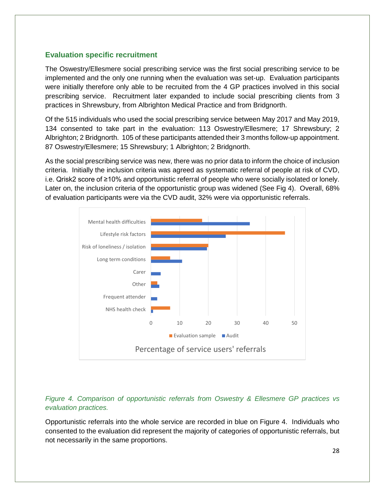### **Evaluation specific recruitment**

The Oswestry/Ellesmere social prescribing service was the first social prescribing service to be implemented and the only one running when the evaluation was set-up. Evaluation participants were initially therefore only able to be recruited from the 4 GP practices involved in this social prescribing service. Recruitment later expanded to include social prescribing clients from 3 practices in Shrewsbury, from Albrighton Medical Practice and from Bridgnorth.

Of the 515 individuals who used the social prescribing service between May 2017 and May 2019, 134 consented to take part in the evaluation: 113 Oswestry/Ellesmere; 17 Shrewsbury; 2 Albrighton; 2 Bridgnorth. 105 of these participants attended their 3 months follow-up appointment. 87 Oswestry/Ellesmere; 15 Shrewsbury; 1 Albrighton; 2 Bridgnorth.

As the social prescribing service was new, there was no prior data to inform the choice of inclusion criteria. Initially the inclusion criteria was agreed as systematic referral of people at risk of CVD, i.e. Qrisk2 score of ≥10% and opportunistic referral of people who were socially isolated or lonely. Later on, the inclusion criteria of the opportunistic group was widened (See Fig 4). Overall, 68% of evaluation participants were via the CVD audit, 32% were via opportunistic referrals.



### *Figure 4. Comparison of opportunistic referrals from Oswestry & Ellesmere GP practices vs evaluation practices.*

Opportunistic referrals into the whole service are recorded in blue on Figure 4. Individuals who consented to the evaluation did represent the majority of categories of opportunistic referrals, but not necessarily in the same proportions.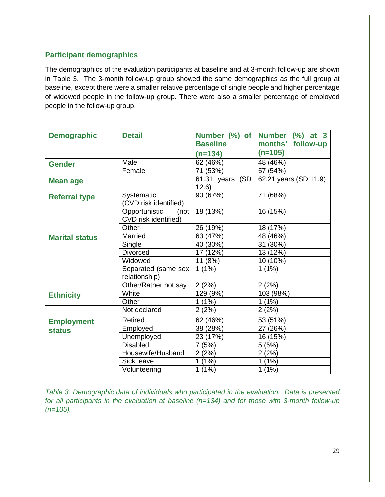### **Participant demographics**

The demographics of the evaluation participants at baseline and at 3-month follow-up are shown in Table 3. The 3-month follow-up group showed the same demographics as the full group at baseline, except there were a smaller relative percentage of single people and higher percentage of widowed people in the follow-up group. There were also a smaller percentage of employed people in the follow-up group.

| <b>Demographic</b>    | <b>Detail</b>                                 | <b>Baseline</b>          | Number (%) of Number (%) at 3<br>months'<br>follow-up |
|-----------------------|-----------------------------------------------|--------------------------|-------------------------------------------------------|
|                       |                                               | $(n=134)$                | $(n=105)$                                             |
| <b>Gender</b>         | Male                                          | 62 (46%)                 | 48 (46%)                                              |
|                       | Female                                        | 71 (53%)                 | 57 (54%)                                              |
| <b>Mean age</b>       |                                               | 61.31 years (SD<br>12.6) | 62.21 years (SD 11.9)                                 |
| <b>Referral type</b>  | Systematic<br>(CVD risk identified)           | 90 (67%)                 | 71 (68%)                                              |
|                       | Opportunistic<br>(not<br>CVD risk identified) | 18 (13%)                 | 16 (15%)                                              |
|                       | Other                                         | 26 (19%)                 | 18 (17%)                                              |
| <b>Marital status</b> | Married                                       | 63 (47%)                 | 48 (46%)                                              |
|                       | Single                                        | 40 (30%)                 | 31 (30%)                                              |
|                       | <b>Divorced</b>                               | 17 (12%)                 | 13 (12%)                                              |
|                       | Widowed                                       | 11 (8%)                  | 10 (10%)                                              |
|                       | Separated (same sex<br>relationship)          | $1(1\%)$                 | $1(1\%)$                                              |
|                       | Other/Rather not say                          | 2(2%)                    | 2(2%)                                                 |
| <b>Ethnicity</b>      | White                                         | 129 (9%)                 | 103 (98%)                                             |
|                       | Other                                         | $1(1\%)$                 | $1(1\%)$                                              |
|                       | Not declared                                  | 2(2%)                    | 2(2%)                                                 |
| <b>Employment</b>     | <b>Retired</b>                                | 62 (46%)                 | 53 (51%)                                              |
| <b>status</b>         | Employed                                      | 38 (28%)                 | 27 (26%)                                              |
|                       | Unemployed                                    | 23 (17%)                 | 16 (15%)                                              |
|                       | <b>Disabled</b>                               | 7(5%)                    | 5(5%)                                                 |
|                       | Housewife/Husband                             | 2(2%)                    | 2(2%)                                                 |
|                       | Sick leave                                    | $1(1\%)$                 | 1(1%)                                                 |
|                       | Volunteering                                  | $1(1\%)$                 | $1(1\%)$                                              |

*Table 3: Demographic data of individuals who participated in the evaluation. Data is presented for all participants in the evaluation at baseline (n=134) and for those with 3-month follow-up (n=105).*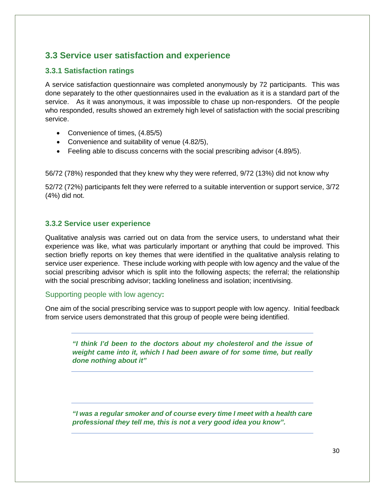# **3.3 Service user satisfaction and experience**

### **3.3.1 Satisfaction ratings**

A service satisfaction questionnaire was completed anonymously by 72 participants. This was done separately to the other questionnaires used in the evaluation as it is a standard part of the service. As it was anonymous, it was impossible to chase up non-responders. Of the people who responded, results showed an extremely high level of satisfaction with the social prescribing service.

- Convenience of times,  $(4.85/5)$
- Convenience and suitability of venue (4.82/5),
- Feeling able to discuss concerns with the social prescribing advisor (4.89/5).

56/72 (78%) responded that they knew why they were referred, 9/72 (13%) did not know why

52/72 (72%) participants felt they were referred to a suitable intervention or support service, 3/72 (4%) did not.

### **3.3.2 Service user experience**

Qualitative analysis was carried out on data from the service users, to understand what their experience was like, what was particularly important or anything that could be improved. This section briefly reports on key themes that were identified in the qualitative analysis relating to service user experience. These include working with people with low agency and the value of the social prescribing advisor which is split into the following aspects; the referral; the relationship with the social prescribing advisor; tackling loneliness and isolation; incentivising.

### Supporting people with low agency**:**

One aim of the social prescribing service was to support people with low agency. Initial feedback from service users demonstrated that this group of people were being identified.

*"I think I'd been to the doctors about my cholesterol and the issue of weight came into it, which I had been aware of for some time, but really done nothing about it"*

*"I was a regular smoker and of course every time I meet with a health care professional they tell me, this is not a very good idea you know".*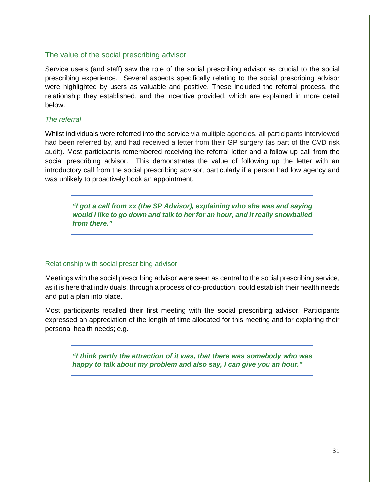#### The value of the social prescribing advisor

Service users (and staff) saw the role of the social prescribing advisor as crucial to the social prescribing experience. Several aspects specifically relating to the social prescribing advisor were highlighted by users as valuable and positive. These included the referral process, the relationship they established, and the incentive provided, which are explained in more detail below.

#### *The referral*

Whilst individuals were referred into the service via multiple agencies, all participants interviewed had been referred by, and had received a letter from their GP surgery (as part of the CVD risk audit). Most participants remembered receiving the referral letter and a follow up call from the social prescribing advisor. This demonstrates the value of following up the letter with an introductory call from the social prescribing advisor, particularly if a person had low agency and was unlikely to proactively book an appointment.

*"I got a call from xx (the SP Advisor), explaining who she was and saying would I like to go down and talk to her for an hour, and it really snowballed from there."*

#### Relationship with social prescribing advisor

Meetings with the social prescribing advisor were seen as central to the social prescribing service, as it is here that individuals, through a process of co-production, could establish their health needs and put a plan into place.

Most participants recalled their first meeting with the social prescribing advisor. Participants expressed an appreciation of the length of time allocated for this meeting and for exploring their personal health needs; e.g.

*"I think partly the attraction of it was, that there was somebody who was happy to talk about my problem and also say, I can give you an hour."*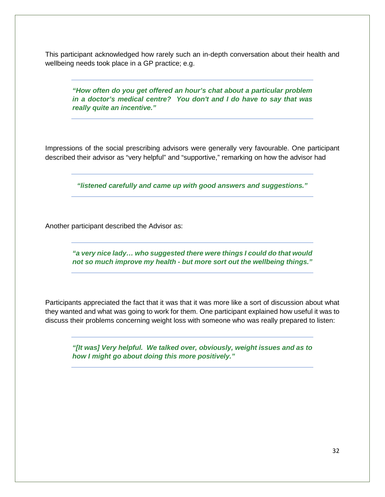This participant acknowledged how rarely such an in-depth conversation about their health and wellbeing needs took place in a GP practice; e.g.

*"How often do you get offered an hour's chat about a particular problem in a doctor's medical centre? You don't and I do have to say that was really quite an incentive."* 

Impressions of the social prescribing advisors were generally very favourable. One participant described their advisor as "very helpful" and "supportive," remarking on how the advisor had

*"listened carefully and came up with good answers and suggestions."*

Another participant described the Advisor as:

*"a very nice lady… who suggested there were things I could do that would not so much improve my health - but more sort out the wellbeing things."* 

Participants appreciated the fact that it was that it was more like a sort of discussion about what they wanted and what was going to work for them. One participant explained how useful it was to discuss their problems concerning weight loss with someone who was really prepared to listen:

*"[It was] Very helpful. We talked over, obviously, weight issues and as to how I might go about doing this more positively."*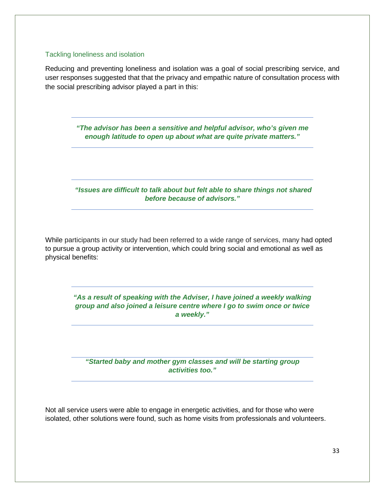#### Tackling loneliness and isolation

Reducing and preventing loneliness and isolation was a goal of social prescribing service, and user responses suggested that that the privacy and empathic nature of consultation process with the social prescribing advisor played a part in this:

> *"The advisor has been a sensitive and helpful advisor, who's given me enough latitude to open up about what are quite private matters."*

*"Issues are difficult to talk about but felt able to share things not shared before because of advisors."* 

While participants in our study had been referred to a wide range of services, many had opted to pursue a group activity or intervention, which could bring social and emotional as well as physical benefits:

> *"As a result of speaking with the Adviser, I have joined a weekly walking group and also joined a leisure centre where I go to swim once or twice a weekly."*

*"Started baby and mother gym classes and will be starting group activities too."*

Not all service users were able to engage in energetic activities, and for those who were isolated, other solutions were found, such as home visits from professionals and volunteers.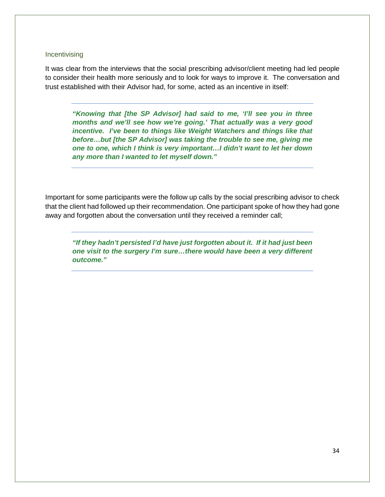#### **Incentivising**

It was clear from the interviews that the social prescribing advisor/client meeting had led people to consider their health more seriously and to look for ways to improve it. The conversation and trust established with their Advisor had, for some, acted as an incentive in itself:

*"Knowing that [the SP Advisor] had said to me, 'I'll see you in three months and we'll see how we're going.' That actually was a very good incentive. I've been to things like Weight Watchers and things like that before…but [the SP Advisor] was taking the trouble to see me, giving me one to one, which I think is very important…I didn't want to let her down any more than I wanted to let myself down."*

Important for some participants were the follow up calls by the social prescribing advisor to check that the client had followed up their recommendation. One participant spoke of how they had gone away and forgotten about the conversation until they received a reminder call;

*"If they hadn't persisted I'd have just forgotten about it. If it had just been one visit to the surgery I'm sure…there would have been a very different outcome."*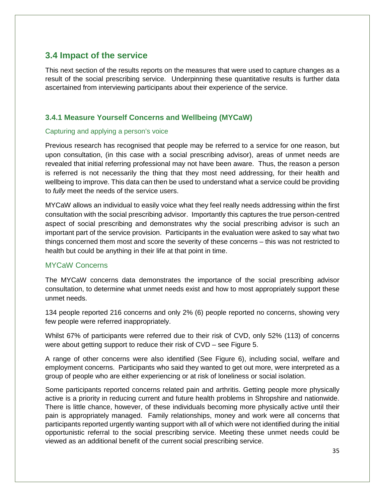## **3.4 Impact of the service**

This next section of the results reports on the measures that were used to capture changes as a result of the social prescribing service. Underpinning these quantitative results is further data ascertained from interviewing participants about their experience of the service.

### **3.4.1 Measure Yourself Concerns and Wellbeing (MYCaW)**

### Capturing and applying a person's voice

Previous research has recognised that people may be referred to a service for one reason, but upon consultation, (in this case with a social prescribing advisor), areas of unmet needs are revealed that initial referring professional may not have been aware. Thus, the reason a person is referred is not necessarily the thing that they most need addressing, for their health and wellbeing to improve. This data can then be used to understand what a service could be providing to *fully* meet the needs of the service users.

MYCaW allows an individual to easily voice what they feel really needs addressing within the first consultation with the social prescribing advisor. Importantly this captures the true person-centred aspect of social prescribing and demonstrates why the social prescribing advisor is such an important part of the service provision. Participants in the evaluation were asked to say what two things concerned them most and score the severity of these concerns – this was not restricted to health but could be anything in their life at that point in time.

### MYCaW Concerns

The MYCaW concerns data demonstrates the importance of the social prescribing advisor consultation, to determine what unmet needs exist and how to most appropriately support these unmet needs.

134 people reported 216 concerns and only 2% (6) people reported no concerns, showing very few people were referred inappropriately.

Whilst 67% of participants were referred due to their risk of CVD, only 52% (113) of concerns were about getting support to reduce their risk of CVD – see Figure 5.

A range of other concerns were also identified (See Figure 6), including social, welfare and employment concerns. Participants who said they wanted to get out more, were interpreted as a group of people who are either experiencing or at risk of loneliness or social isolation.

Some participants reported concerns related pain and arthritis. Getting people more physically active is a priority in reducing current and future health problems in Shropshire and nationwide. There is little chance, however, of these individuals becoming more physically active until their pain is appropriately managed. Family relationships, money and work were all concerns that participants reported urgently wanting support with all of which were not identified during the initial opportunistic referral to the social prescribing service. Meeting these unmet needs could be viewed as an additional benefit of the current social prescribing service.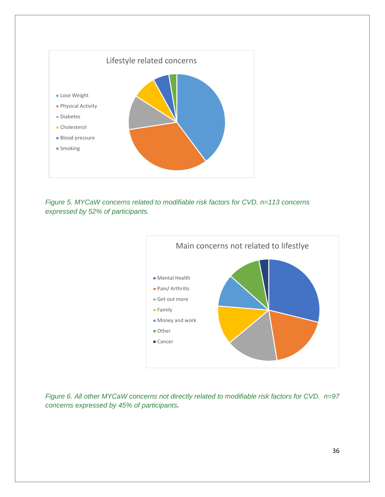

*Figure 5. MYCaW concerns related to modifiable risk factors for CVD. n=113 concerns expressed by 52% of participants.*



*Figure 6. All other MYCaW concerns not directly related to modifiable risk factors for CVD. n=97 concerns expressed by 45% of participants.*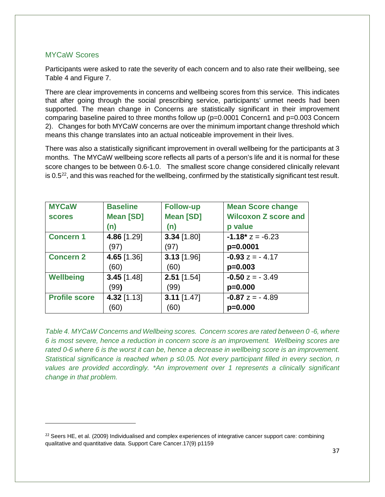### MYCaW Scores

l

Participants were asked to rate the severity of each concern and to also rate their wellbeing, see Table 4 and Figure 7.

There are clear improvements in concerns and wellbeing scores from this service. This indicates that after going through the social prescribing service, participants' unmet needs had been supported. The mean change in Concerns are statistically significant in their improvement comparing baseline paired to three months follow up (p=0.0001 Concern1 and p=0.003 Concern 2). Changes for both MYCaW concerns are over the minimum important change threshold which means this change translates into an actual noticeable improvement in their lives.

There was also a statistically significant improvement in overall wellbeing for the participants at 3 months. The MYCaW wellbeing score reflects all parts of a person's life and it is normal for these score changes to be between 0.6-1.0. The smallest score change considered clinically relevant is 0.5<sup>22</sup>, and this was reached for the wellbeing, confirmed by the statistically significant test result.

| <b>MYCaW</b>         | <b>Baseline</b>  | <b>Follow-up</b> | <b>Mean Score change</b>    |
|----------------------|------------------|------------------|-----------------------------|
| <b>scores</b>        | <b>Mean [SD]</b> | <b>Mean [SD]</b> | <b>Wilcoxon Z score and</b> |
|                      | (n)              | (n)              | p value                     |
| <b>Concern 1</b>     | 4.86 [1.29]      | $3.34$ [1.80]    | $-1.18$ * $z = -6.23$       |
|                      | (97)             | (97)             | p=0.0001                    |
| <b>Concern 2</b>     | 4.65 [1.36]      | $3.13$ [1.96]    | $-0.93 z = -4.17$           |
|                      | (60)             | (60)             | $p=0.003$                   |
| <b>Wellbeing</b>     | $3.45$ [1.48]    | $2.51$ [1.54]    | $-0.50 z = -3.49$           |
|                      | (99)             | (99)             | $p=0.000$                   |
| <b>Profile score</b> | 4.32 [1.13]      | $3.11$ [1.47]    | $-0.87 z = -4.89$           |
|                      | (60)             | (60)             | $p=0.000$                   |

*Table 4. MYCaW Concerns and Wellbeing scores. Concern scores are rated between 0 -6, where 6 is most severe, hence a reduction in concern score is an improvement. Wellbeing scores are rated 0-6 where 6 is the worst it can be, hence a decrease in wellbeing score is an improvement. Statistical significance is reached when p ≤0.05. Not every participant filled in every section, n values are provided accordingly. \*An improvement over 1 represents a clinically significant change in that problem.*

<span id="page-36-0"></span> $22$  Seers HE, et al. (2009) Individualised and complex experiences of integrative cancer support care: combining qualitative and quantitative data. Support Care Cancer.17(9) p1159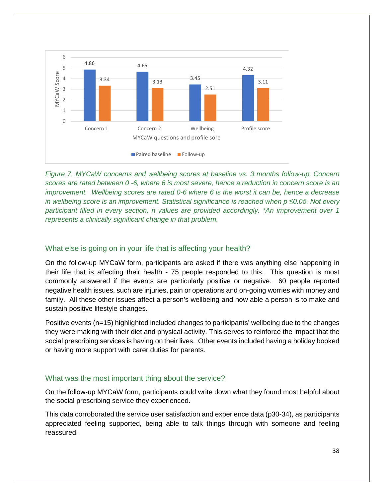

*Figure 7. MYCaW concerns and wellbeing scores at baseline vs. 3 months follow-up. Concern scores are rated between 0 -6, where 6 is most severe, hence a reduction in concern score is an improvement. Wellbeing scores are rated 0-6 where 6 is the worst it can be, hence a decrease in wellbeing score is an improvement. Statistical significance is reached when p ≤0.05. Not every participant filled in every section, n values are provided accordingly. \*An improvement over 1 represents a clinically significant change in that problem.*

### What else is going on in your life that is affecting your health?

On the follow-up MYCaW form, participants are asked if there was anything else happening in their life that is affecting their health - 75 people responded to this. This question is most commonly answered if the events are particularly positive or negative. 60 people reported negative health issues, such are injuries, pain or operations and on-going worries with money and family. All these other issues affect a person's wellbeing and how able a person is to make and sustain positive lifestyle changes.

Positive events (n=15) highlighted included changes to participants' wellbeing due to the changes they were making with their diet and physical activity. This serves to reinforce the impact that the social prescribing services is having on their lives. Other events included having a holiday booked or having more support with carer duties for parents.

### What was the most important thing about the service?

On the follow-up MYCaW form, participants could write down what they found most helpful about the social prescribing service they experienced.

This data corroborated the service user satisfaction and experience data (p30-34), as participants appreciated feeling supported, being able to talk things through with someone and feeling reassured.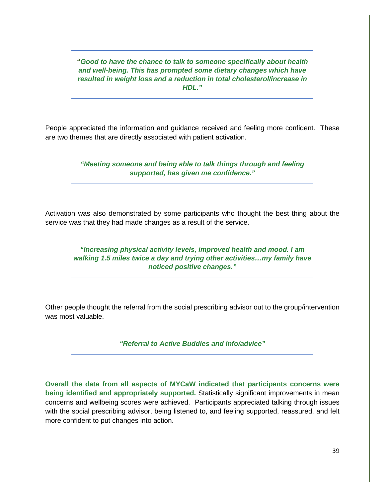*"Good to have the chance to talk to someone specifically about health and well-being. This has prompted some dietary changes which have resulted in weight loss and a reduction in total cholesterol/increase in HDL."*

People appreciated the information and guidance received and feeling more confident. These are two themes that are directly associated with patient activation.

> *"Meeting someone and being able to talk things through and feeling supported, has given me confidence."*

Activation was also demonstrated by some participants who thought the best thing about the service was that they had made changes as a result of the service.

*"Increasing physical activity levels, improved health and mood. I am walking 1.5 miles twice a day and trying other activities…my family have noticed positive changes."*

Other people thought the referral from the social prescribing advisor out to the group/intervention was most valuable.

*"Referral to Active Buddies and info/advice"* 

**Overall the data from all aspects of MYCaW indicated that participants concerns were being identified and appropriately supported.** Statistically significant improvements in mean concerns and wellbeing scores were achieved. Participants appreciated talking through issues with the social prescribing advisor, being listened to, and feeling supported, reassured, and felt more confident to put changes into action.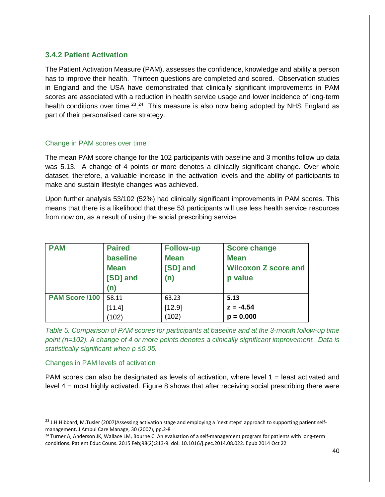### **3.4.2 Patient Activation**

The Patient Activation Measure (PAM), assesses the confidence, knowledge and ability a person has to improve their health. Thirteen questions are completed and scored. Observation studies in England and the USA have demonstrated that clinically significant improvements in PAM scores are associated with a reduction in health service usage and lower incidence of long-term health conditions over time.<sup>23</sup>,<sup>24</sup> This measure is also now being adopted by NHS England as part of their personalised care strategy.

#### Change in PAM scores over time

The mean PAM score change for the 102 participants with baseline and 3 months follow up data was 5.13. A change of 4 points or more denotes a clinically significant change. Over whole dataset, therefore, a valuable increase in the activation levels and the ability of participants to make and sustain lifestyle changes was achieved.

Upon further analysis 53/102 (52%) had clinically significant improvements in PAM scores. This means that there is a likelihood that these 53 participants will use less health service resources from now on, as a result of using the social prescribing service.

| <b>PAM</b>     | <b>Paired</b> | <b>Follow-up</b> | <b>Score change</b>         |
|----------------|---------------|------------------|-----------------------------|
|                | baseline      | <b>Mean</b>      | <b>Mean</b>                 |
|                | <b>Mean</b>   | [SD] and         | <b>Wilcoxon Z score and</b> |
|                | [SD] and      | (n)              | p value                     |
|                | (n)           |                  |                             |
| PAM Score /100 | 58.11         | 63.23            | 5.13                        |
|                | [11.4]        | [12.9]           | $z = -4.54$                 |
|                | (102)         | (102)            | $p = 0.000$                 |

*Table 5. Comparison of PAM scores for participants at baseline and at the 3-month follow-up time point (n=102). A change of 4 or more points denotes a clinically significant improvement. Data is statistically significant when p ≤0.05.*

#### Changes in PAM levels of activation

 $\overline{\phantom{a}}$ 

PAM scores can also be designated as levels of activation, where level  $1 =$  least activated and level 4 = most highly activated. Figure 8 shows that after receiving social prescribing there were

<span id="page-39-0"></span> $^{23}$  J.H.Hibbard, M.Tusler (2007)Assessing activation stage and employing a 'next steps' approach to supporting patient selfmanagement. J Ambul Care Manage, 30 (2007), pp.2-8

<span id="page-39-1"></span><sup>&</sup>lt;sup>24</sup> Turner A, Anderson JK, Wallace LM, Bourne C. An evaluation of a self-management program for patients with long-term conditions. Patient Educ Couns. 2015 Feb;98(2):213-9. doi: 10.1016/j.pec.2014.08.022. Epub 2014 Oct 22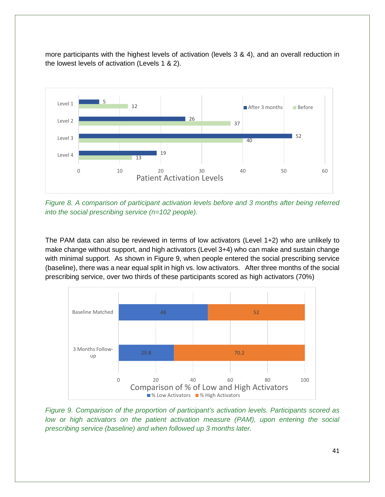more participants with the highest levels of activation (levels 3 & 4), and an overall reduction in the lowest levels of activation (Levels 1 & 2).



*Figure 8. A comparison of participant activation levels before and 3 months after being referred into the social prescribing service (n=102 people).*

The PAM data can also be reviewed in terms of low activators (Level 1+2) who are unlikely to make change without support, and high activators (Level 3+4) who can make and sustain change with minimal support. As shown in Figure 9, when people entered the social prescribing service (baseline), there was a near equal split in high vs. low activators. After three months of the social prescribing service, over two thirds of these participants scored as high activators (70%)



*Figure 9. Comparison of the proportion of participant's activation levels. Participants scored as low or high activators on the patient activation measure (PAM), upon entering the social prescribing service (baseline) and when followed up 3 months later.*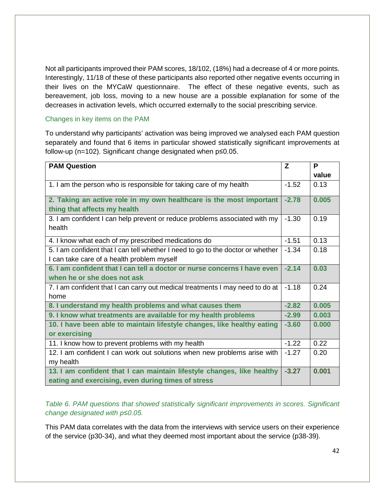Not all participants improved their PAM scores, 18/102, (18%) had a decrease of 4 or more points. Interestingly, 11/18 of these of these participants also reported other negative events occurring in their lives on the MYCaW questionnaire. The effect of these negative events, such as bereavement, job loss, moving to a new house are a possible explanation for some of the decreases in activation levels, which occurred externally to the social prescribing service.

#### Changes in key items on the PAM

To understand why participants' activation was being improved we analysed each PAM question separately and found that 6 items in particular showed statistically significant improvements at follow-up (n=102). Significant change designated when p≤0.05.

| <b>PAM Question</b>                                                             | Z       | P     |
|---------------------------------------------------------------------------------|---------|-------|
|                                                                                 |         | value |
| 1. I am the person who is responsible for taking care of my health              | $-1.52$ | 0.13  |
| 2. Taking an active role in my own healthcare is the most important             | $-2.78$ | 0.005 |
| thing that affects my health                                                    |         |       |
| 3. I am confident I can help prevent or reduce problems associated with my      | $-1.30$ | 0.19  |
| health                                                                          |         |       |
| 4. I know what each of my prescribed medications do                             | $-1.51$ | 0.13  |
| 5. I am confident that I can tell whether I need to go to the doctor or whether | $-1.34$ | 0.18  |
| I can take care of a health problem myself                                      |         |       |
| 6. I am confident that I can tell a doctor or nurse concerns I have even        | $-2.14$ | 0.03  |
| when he or she does not ask                                                     |         |       |
| 7. I am confident that I can carry out medical treatments I may need to do at   | $-1.18$ | 0.24  |
| home                                                                            |         |       |
| 8. I understand my health problems and what causes them                         | $-2.82$ | 0.005 |
| 9. I know what treatments are available for my health problems                  | $-2.99$ | 0.003 |
| 10. I have been able to maintain lifestyle changes, like healthy eating         | $-3.60$ | 0.000 |
| or exercising                                                                   |         |       |
| 11. I know how to prevent problems with my health                               | $-1.22$ | 0.22  |
| 12. I am confident I can work out solutions when new problems arise with        | $-1.27$ | 0.20  |
| my health                                                                       |         |       |
| 13. I am confident that I can maintain lifestyle changes, like healthy          | $-3.27$ | 0.001 |
| eating and exercising, even during times of stress                              |         |       |

*Table 6. PAM questions that showed statistically significant improvements in scores. Significant change designated with p≤0.05.*

This PAM data correlates with the data from the interviews with service users on their experience of the service (p30-34), and what they deemed most important about the service (p38-39).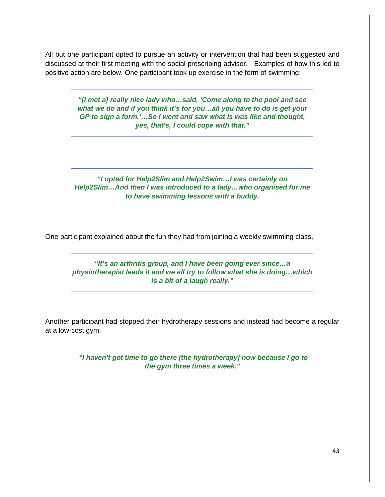All but one participant opted to pursue an activity or intervention that had been suggested and discussed at their first meeting with the social prescribing advisor. Examples of how this led to positive action are below. One participant took up exercise in the form of swimming;

> *"[I met a] really nice lady who…said, 'Come along to the pool and see what we do and if you think it's for you…all you have to do is get your GP to sign a form.'…So I went and saw what is was like and thought, yes, that's, I could cope with that."*

*"I opted for Help2Slim and Help2Swim…I was certainly on Help2Slim…And then I was introduced to a lady…who organised for me to have swimming lessons with a buddy.*

One participant explained about the fun they had from joining a weekly swimming class,

*"It's an arthritis group, and I have been going ever since…a physiotherapist leads it and we all try to follow what she is doing…which is a bit of a laugh really."*

Another participant had stopped their hydrotherapy sessions and instead had become a regular at a low-cost gym.

> *"I haven't got time to go there [the hydrotherapy] now because I go to the gym three times a week."*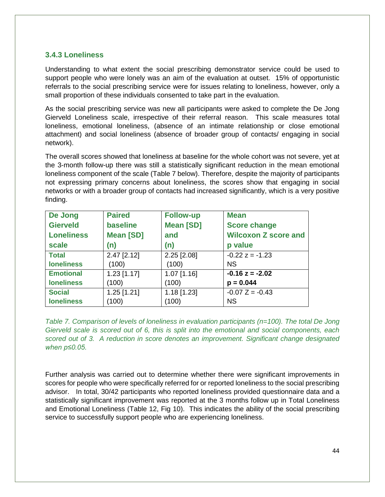### **3.4.3 Loneliness**

Understanding to what extent the social prescribing demonstrator service could be used to support people who were lonely was an aim of the evaluation at outset. 15% of opportunistic referrals to the social prescribing service were for issues relating to loneliness, however, only a small proportion of these individuals consented to take part in the evaluation.

As the social prescribing service was new all participants were asked to complete the De Jong Gierveld Loneliness scale, irrespective of their referral reason. This scale measures total loneliness, emotional loneliness, (absence of an intimate relationship or close emotional attachment) and social loneliness (absence of broader group of contacts/ engaging in social network).

The overall scores showed that loneliness at baseline for the whole cohort was not severe, yet at the 3-month follow-up there was still a statistically significant reduction in the mean emotional loneliness component of the scale (Table 7 below). Therefore, despite the majority of participants not expressing primary concerns about loneliness, the scores show that engaging in social networks or with a broader group of contacts had increased significantly, which is a very positive finding.

| De Jong           | <b>Paired</b>     | <b>Follow-up</b>  | <b>Mean</b>                 |
|-------------------|-------------------|-------------------|-----------------------------|
| <b>Gierveld</b>   | baseline          | <b>Mean [SD]</b>  | <b>Score change</b>         |
| <b>Loneliness</b> | <b>Mean [SD]</b>  | and               | <b>Wilcoxon Z score and</b> |
| scale             | (n)               | (n)               | p value                     |
| <b>Total</b>      | $2.47$ [ $2.12$ ] | $2.25$ [ $2.08$ ] | $-0.22 z = -1.23$           |
| <b>loneliness</b> | (100)             | (100)             | <b>NS</b>                   |
| <b>Emotional</b>  | $1.23$ [1.17]     | $1.07$ [1.16]     | $-0.16 z = -2.02$           |
| <b>loneliness</b> | (100)             | (100)             | $p = 0.044$                 |
| <b>Social</b>     | $1.25$ [1.21]     | $1.18$ [1.23]     | $-0.07$ Z = $-0.43$         |
| <b>loneliness</b> | (100)             | (100)             | <b>NS</b>                   |

*Table 7. Comparison of levels of loneliness in evaluation participants (n=100). The total De Jong Gierveld scale is scored out of 6, this is split into the emotional and social components, each scored out of 3. A reduction in score denotes an improvement. Significant change designated when p≤0.05.*

Further analysis was carried out to determine whether there were significant improvements in scores for people who were specifically referred for or reported loneliness to the social prescribing advisor. In total, 30/42 participants who reported loneliness provided questionnaire data and a statistically significant improvement was reported at the 3 months follow up in Total Loneliness and Emotional Loneliness (Table 12, Fig 10). This indicates the ability of the social prescribing service to successfully support people who are experiencing loneliness.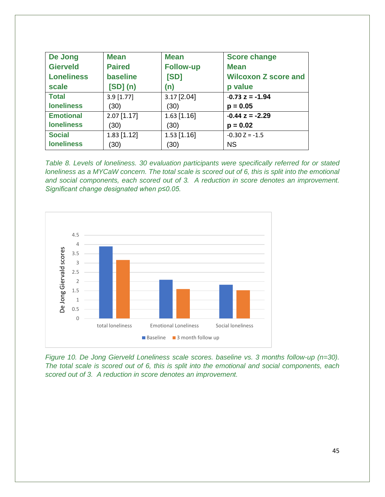| De Jong           | <b>Mean</b>     | <b>Mean</b>      | <b>Score change</b>         |
|-------------------|-----------------|------------------|-----------------------------|
| <b>Gierveld</b>   | <b>Paired</b>   | <b>Follow-up</b> | <b>Mean</b>                 |
| <b>Loneliness</b> | <b>baseline</b> | [SD]             | <b>Wilcoxon Z score and</b> |
| scale             | $[SD]$ (n)      | (n)              | p value                     |
| <b>Total</b>      | $3.9$ [1.77]    | 3.17 [2.04]      | $-0.73 z = -1.94$           |
| <b>loneliness</b> | (30)            | (30)             | $p = 0.05$                  |
| <b>Emotional</b>  | $2.07$ [1.17]   | $1.63$ [1.16]    | $-0.44 z = -2.29$           |
| <b>loneliness</b> | (30)            | (30)             | $p = 0.02$                  |
| <b>Social</b>     | $1.83$ [1.12]   | $1.53$ [1.16]    | $-0.30$ Z = $-1.5$          |
| <b>loneliness</b> | (30)            | (30)             | <b>NS</b>                   |

*Table 8. Levels of loneliness. 30 evaluation participants were specifically referred for or stated loneliness as a MYCaW concern. The total scale is scored out of 6, this is split into the emotional and social components, each scored out of 3. A reduction in score denotes an improvement. Significant change designated when p≤0.05.*



*Figure 10. De Jong Gierveld Loneliness scale scores. baseline vs. 3 months follow-up (n=30). The total scale is scored out of 6, this is split into the emotional and social components, each scored out of 3. A reduction in score denotes an improvement.*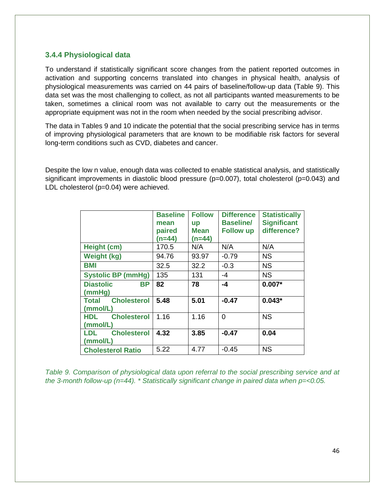### **3.4.4 Physiological data**

To understand if statistically significant score changes from the patient reported outcomes in activation and supporting concerns translated into changes in physical health, analysis of physiological measurements was carried on 44 pairs of baseline/follow-up data (Table 9). This data set was the most challenging to collect, as not all participants wanted measurements to be taken, sometimes a clinical room was not available to carry out the measurements or the appropriate equipment was not in the room when needed by the social prescribing advisor.

The data in Tables 9 and 10 indicate the potential that the social prescribing service has in terms of improving physiological parameters that are known to be modifiable risk factors for several long-term conditions such as CVD, diabetes and cancer.

Despite the low n value, enough data was collected to enable statistical analysis, and statistically significant improvements in diastolic blood pressure (p=0.007), total cholesterol (p=0.043) and LDL cholesterol (p=0.04) were achieved.

|                                              | <b>Baseline</b><br>mean<br>paired<br>$(n=44)$ | <b>Follow</b><br><b>up</b><br><b>Mean</b><br>$(n=44)$ | <b>Difference</b><br><b>Baseline/</b><br><b>Follow up</b> | <b>Statistically</b><br><b>Significant</b><br>difference? |
|----------------------------------------------|-----------------------------------------------|-------------------------------------------------------|-----------------------------------------------------------|-----------------------------------------------------------|
| Height (cm)                                  | 170.5                                         | N/A                                                   | N/A                                                       | N/A                                                       |
| <b>Weight (kg)</b>                           | 94.76                                         | 93.97                                                 | $-0.79$                                                   | <b>NS</b>                                                 |
| BMI                                          | 32.5                                          | 32.2                                                  | $-0.3$                                                    | <b>NS</b>                                                 |
| <b>Systolic BP (mmHg)</b>                    | 135                                           | 131                                                   | -4                                                        | <b>NS</b>                                                 |
| <b>Diastolic</b><br><b>BP</b><br>(mmHg)      | 82                                            | 78                                                    | -4                                                        | $0.007*$                                                  |
| <b>Cholesterol</b><br>Total<br>(mmol/L)      | 5.48                                          | 5.01                                                  | $-0.47$                                                   | $0.043*$                                                  |
| <b>Cholesterol</b><br><b>HDL</b><br>(mmol/L) | 1.16                                          | 1.16                                                  | 0                                                         | <b>NS</b>                                                 |
| <b>Cholesterol</b><br>LDL<br>(mmol/L)        | 4.32                                          | 3.85                                                  | $-0.47$                                                   | 0.04                                                      |
| <b>Cholesterol Ratio</b>                     | 5.22                                          | 4.77                                                  | $-0.45$                                                   | <b>NS</b>                                                 |

*Table 9. Comparison of physiological data upon referral to the social prescribing service and at the 3-month follow-up (n=44). \* Statistically significant change in paired data when p=<0.05.*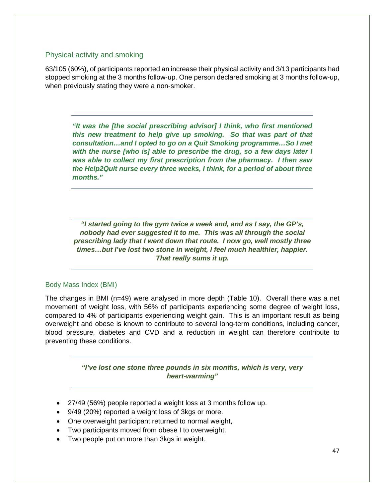#### Physical activity and smoking

63/105 (60%), of participants reported an increase their physical activity and 3/13 participants had stopped smoking at the 3 months follow-up. One person declared smoking at 3 months follow-up, when previously stating they were a non-smoker.

*"It was the [the social prescribing advisor] I think, who first mentioned this new treatment to help give up smoking. So that was part of that consultation…and I opted to go on a Quit Smoking programme…So I met with the nurse [who is] able to prescribe the drug, so a few days later I was able to collect my first prescription from the pharmacy. I then saw the Help2Quit nurse every three weeks, I think, for a period of about three months."*

*"I started going to the gym twice a week and, and as I say, the GP's, nobody had ever suggested it to me. This was all through the social prescribing lady that I went down that route. I now go, well mostly three times…but I've lost two stone in weight, I feel much healthier, happier. That really sums it up.*

#### Body Mass Index (BMI)

The changes in BMI (n=49) were analysed in more depth (Table 10). Overall there was a net movement of weight loss, with 56% of participants experiencing some degree of weight loss, compared to 4% of participants experiencing weight gain. This is an important result as being overweight and obese is known to contribute to several long-term conditions, including cancer, blood pressure, diabetes and CVD and a reduction in weight can therefore contribute to preventing these conditions.

> *"I've lost one stone three pounds in six months, which is very, very heart-warming"*

- 27/49 (56%) people reported a weight loss at 3 months follow up.
- 9/49 (20%) reported a weight loss of 3kgs or more.
- One overweight participant returned to normal weight,
- Two participants moved from obese I to overweight.
- Two people put on more than 3kgs in weight.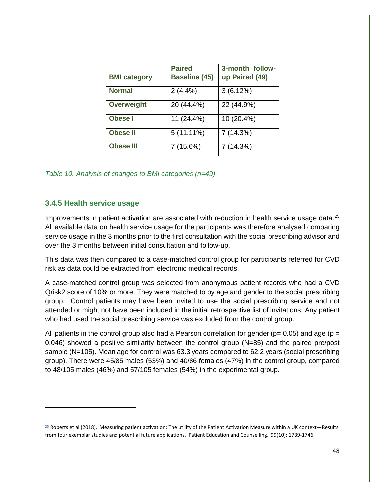| <b>BMI category</b> | <b>Paired</b><br><b>Baseline (45)</b> | 3-month follow-<br>up Paired (49) |
|---------------------|---------------------------------------|-----------------------------------|
| <b>Normal</b>       | 2(4.4%)                               | 3(6.12%)                          |
| <b>Overweight</b>   | 20 (44.4%)                            | 22 (44.9%)                        |
| Obese I             | 11 (24.4%)                            | 10 (20.4%)                        |
| <b>Obese II</b>     | $5(11.11\%)$                          | 7 (14.3%)                         |
| <b>Obese III</b>    | 7(15.6%)                              | 7(14.3%)                          |

|  |  | Table 10. Analysis of changes to BMI categories (n=49) |  |
|--|--|--------------------------------------------------------|--|
|--|--|--------------------------------------------------------|--|

#### **3.4.5 Health service usage**

l

Improvements in patient activation are associated with reduction in health service usage data.<sup>[25](#page-47-0)</sup> All available data on health service usage for the participants was therefore analysed comparing service usage in the 3 months prior to the first consultation with the social prescribing advisor and over the 3 months between initial consultation and follow-up.

This data was then compared to a case-matched control group for participants referred for CVD risk as data could be extracted from electronic medical records.

A case-matched control group was selected from anonymous patient records who had a CVD Qrisk2 score of 10% or more. They were matched to by age and gender to the social prescribing group. Control patients may have been invited to use the social prescribing service and not attended or might not have been included in the initial retrospective list of invitations. Any patient who had used the social prescribing service was excluded from the control group.

All patients in the control group also had a Pearson correlation for gender ( $p= 0.05$ ) and age ( $p =$ 0.046) showed a positive similarity between the control group (N=85) and the paired pre/post sample (N=105). Mean age for control was 63.3 years compared to 62.2 years (social prescribing group). There were 45/85 males (53%) and 40/86 females (47%) in the control group, compared to 48/105 males (46%) and 57/105 females (54%) in the experimental group.

<span id="page-47-0"></span> $25$  Roberts et al (2018). Measuring patient activation: The utility of the Patient Activation Measure within a UK context—Results from four exemplar studies and potential future applications. Patient Education and Counselling. 99(10); 1739-1746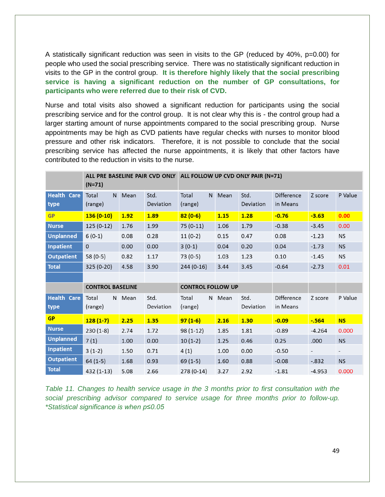A statistically significant reduction was seen in visits to the GP (reduced by 40%, p=0.00) for people who used the social prescribing service. There was no statistically significant reduction in visits to the GP in the control group. **It is therefore highly likely that the social prescribing service is having a significant reduction on the number of GP consultations, for participants who were referred due to their risk of CVD.**

Nurse and total visits also showed a significant reduction for participants using the social prescribing service and for the control group. It is not clear why this is - the control group had a larger starting amount of nurse appointments compared to the social prescribing group. Nurse appointments may be high as CVD patients have regular checks with nurses to monitor blood pressure and other risk indicators. Therefore, it is not possible to conclude that the social prescribing service has affected the nurse appointments, it is likely that other factors have contributed to the reduction in visits to the nurse.

|                    | $(N=71)$                |        |           | ALL PRE BASELINE PAIR CVD ONLY ALL FOLLOW UP CVD ONLY PAIR (N=71) |        |           |            |          |                |
|--------------------|-------------------------|--------|-----------|-------------------------------------------------------------------|--------|-----------|------------|----------|----------------|
| <b>Health Care</b> | Total                   | N Mean | Std.      | Total                                                             | N Mean | Std.      | Difference | Z score  | P Value        |
| type               | (range)                 |        | Deviation | (range)                                                           |        | Deviation | in Means   |          |                |
| <b>GP</b>          | $136(0-10)$             | 1.92   | 1.89      | $82(0-6)$                                                         | 1.15   | 1.28      | $-0.76$    | $-3.63$  | 0.00           |
| <b>Nurse</b>       | $125(0-12)$             | 1.76   | 1.99      | $75(0-11)$                                                        | 1.06   | 1.79      | $-0.38$    | $-3.45$  | 0.00           |
| <b>Unplanned</b>   | $6(0-1)$                | 0.08   | 0.28      | $11(0-2)$                                                         | 0.15   | 0.47      | 0.08       | $-1.23$  | <b>NS</b>      |
| <b>Inpatient</b>   | $\Omega$                | 0.00   | 0.00      | $3(0-1)$                                                          | 0.04   | 0.20      | 0.04       | $-1.73$  | <b>NS</b>      |
| <b>Outpatient</b>  | 58 (0-5)                | 0.82   | 1.17      | 73 (0-5)                                                          | 1.03   | 1.23      | 0.10       | $-1.45$  | <b>NS</b>      |
| <b>Total</b>       | 325 (0-20)              | 4.58   | 3.90      | $244(0-16)$                                                       | 3.44   | 3.45      | $-0.64$    | $-2.73$  | 0.01           |
|                    |                         |        |           |                                                                   |        |           |            |          |                |
|                    | <b>CONTROL BASELINE</b> |        |           | <b>CONTROL FOLLOW UP</b>                                          |        |           |            |          |                |
| <b>Health Care</b> | Total                   | N Mean | Std.      | Total                                                             | N Mean | Std.      | Difference | Z score  | P Value        |
| type               | (range)                 |        | Deviation | (range)                                                           |        | Deviation | in Means   |          |                |
| <b>GP</b>          | $128(1-7)$              | 2.25   | 1.35      | $97(1-6)$                                                         | 2.16   | 1.30      | $-0.09$    | $-564$   | <b>NS</b>      |
| <b>Nurse</b>       | $230(1-8)$              | 2.74   | 1.72      | $98(1-12)$                                                        | 1.85   | 1.81      | $-0.89$    | $-4.264$ | 0.000          |
| <b>Unplanned</b>   | 7(1)                    | 1.00   | 0.00      | $10(1-2)$                                                         | 1.25   | 0.46      | 0.25       | .000     | <b>NS</b>      |
| <b>Inpatient</b>   | $3(1-2)$                | 1.50   | 0.71      | 4(1)                                                              | 1.00   | 0.00      | $-0.50$    |          | $\blacksquare$ |
| <b>Outpatient</b>  | $64(1-5)$               | 1.68   | 0.93      | $69(1-5)$                                                         | 1.60   | 0.88      | $-0.08$    | $-.832$  | <b>NS</b>      |
| <b>Total</b>       | 432 (1-13)              | 5.08   | 2.66      | 278 (0-14)                                                        | 3.27   | 2.92      | $-1.81$    | $-4.953$ | 0.000          |

*Table 11. Changes to health service usage in the 3 months prior to first consultation with the social prescribing advisor compared to service usage for three months prior to follow-up. \*Statistical significance is when p≤0.05*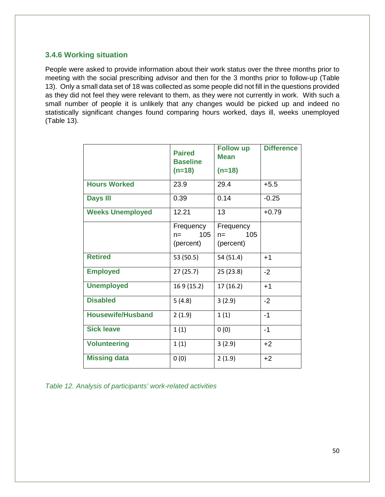### **3.4.6 Working situation**

People were asked to provide information about their work status over the three months prior to meeting with the social prescribing advisor and then for the 3 months prior to follow-up (Table 13). Only a small data set of 18 was collected as some people did not fill in the questions provided as they did not feel they were relevant to them, as they were not currently in work. With such a small number of people it is unlikely that any changes would be picked up and indeed no statistically significant changes found comparing hours worked, days ill, weeks unemployed (Table 13).

|                          | <b>Paired</b><br><b>Baseline</b><br>$(n=18)$ | <b>Follow up</b><br><b>Mean</b><br>$(n=18)$ | <b>Difference</b> |
|--------------------------|----------------------------------------------|---------------------------------------------|-------------------|
| <b>Hours Worked</b>      | 23.9                                         | 29.4                                        | $+5.5$            |
| <b>Days III</b>          | 0.39                                         | 0.14                                        | $-0.25$           |
| <b>Weeks Unemployed</b>  | 12.21                                        | 13                                          | $+0.79$           |
|                          | Frequency<br>105<br>$n =$<br>(percent)       | Frequency<br>105<br>$n =$<br>(percent)      |                   |
| <b>Retired</b>           | 53 (50.5)                                    | 54 (51.4)                                   | $+1$              |
| <b>Employed</b>          | 27(25.7)                                     | 25(23.8)                                    | $-2$              |
| <b>Unemployed</b>        | 169 (15.2)                                   | 17(16.2)                                    | $+1$              |
| <b>Disabled</b>          | 5(4.8)                                       | 3(2.9)                                      | $-2$              |
| <b>Housewife/Husband</b> | 2(1.9)                                       | 1(1)                                        | $-1$              |
| <b>Sick leave</b>        | 1(1)                                         | 0(0)                                        | $-1$              |
| <b>Volunteering</b>      | 1(1)                                         | 3(2.9)                                      | $+2$              |
| <b>Missing data</b>      | 0(0)                                         | 2(1.9)                                      | $+2$              |

*Table 12. Analysis of participants' work-related activities*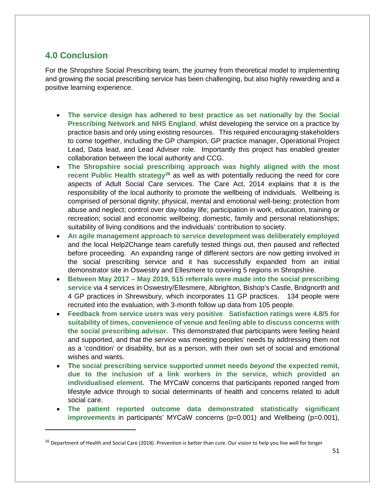# **4.0 Conclusion**

 $\overline{\phantom{a}}$ 

For the Shropshire Social Prescribing team, the journey from theoretical model to implementing and growing the social prescribing service has been challenging, but also highly rewarding and a positive learning experience.

- **The service design has adhered to best practice as set nationally by the Social Prescribing Network and NHS England**, whilst developing the service on a practice by practice basis and only using existing resources. This required encouraging stakeholders to come together, including the GP champion, GP practice manager, Operational Project Lead, Data lead, and Lead Adviser role. Importantly this project has enabled greater collaboration between the local authority and CCG.
- **The Shropshire social prescribing approach was highly aligned with the most recent Public Health strategy[26](#page-50-0)** as well as with potentially reducing the need for core aspects of Adult Social Care services. The Care Act, 2014 explains that it is the responsibility of the local authority to promote the wellbeing of individuals. Wellbeing is comprised of personal dignity; physical, mental and emotional well-being; protection from abuse and neglect; control over day-today life; participation in work, education, training or recreation; social and economic wellbeing; domestic, family and personal relationships; suitability of living conditions and the individuals' contribution to society.
- **An agile management approach to service development was deliberately employed** and the local Help2Change team carefully tested things out, then paused and reflected before proceeding. An expanding range of different sectors are now getting involved in the social prescribing service and it has successfully expanded from an initial demonstrator site in Oswestry and Ellesmere to covering 5 regions in Shropshire.
- **Between May 2017 – May 2019, 515 referrals were made into the social prescribing service** via 4 services in Oswestry/Ellesmere, Albrighton, Bishop's Castle, Bridgnorth and 4 GP practices in Shrewsbury, which incorporates 11 GP practices. 134 people were recruited into the evaluation, with 3-month follow up data from 105 people.
- **Feedback from service users was very positive**. **Satisfaction ratings were 4.8/5 for suitability of times, convenience of venue and feeling able to discuss concerns with the social prescribing advisor.** This demonstrated that participants were feeling heard and supported, and that the service was meeting peoples' needs by addressing them not as a 'condition' or disability, but as a person, with their own set of social and emotional wishes and wants.
- **The social prescribing service supported unmet needs** *beyond* **the expected remit, due to the inclusion of a link workers in the service, which provided an individualised element.** The MYCaW concerns that participants reported ranged from lifestyle advice through to social determinants of health and concerns related to adult social care.
- **The patient reported outcome data demonstrated statistically significant improvements** in participants' MYCaW concerns (p=0.001) and Wellbeing (p=0.001),

<span id="page-50-0"></span><sup>&</sup>lt;sup>26</sup> Department of Health and Social Care (2018). Prevention is better than cure. Our vision to help you live well for longer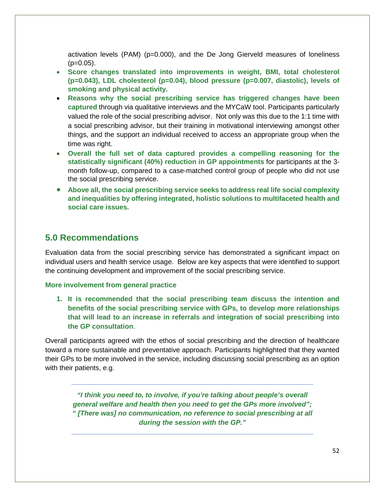activation levels (PAM) (p=0.000), and the De Jong Gierveld measures of loneliness  $(p=0.05)$ .

- **Score changes translated into improvements in weight, BMI, total cholesterol (p=0.043), LDL cholesterol (p=0.04), blood pressure (p=0.007, diastolic), levels of smoking and physical activity.**
- **Reasons why the social prescribing service has triggered changes have been captured** through via qualitative interviews and the MYCaW tool. Participants particularly valued the role of the social prescribing advisor. Not only was this due to the 1:1 time with a social prescribing advisor, but their training in motivational interviewing amongst other things, and the support an individual received to access an appropriate group when the time was right.
- **Overall the full set of data captured provides a compelling reasoning for the statistically significant (40%) reduction in GP appointments** for participants at the 3 month follow-up, compared to a case-matched control group of people who did not use the social prescribing service.
- **Above all, the social prescribing service seeks to address real life social complexity and inequalities by offering integrated, holistic solutions to multifaceted health and social care issues.**

# **5.0 Recommendations**

Evaluation data from the social prescribing service has demonstrated a significant impact on individual users and health service usage. Below are key aspects that were identified to support the continuing development and improvement of the social prescribing service.

### **More involvement from general practice**

**1. It is recommended that the social prescribing team discuss the intention and benefits of the social prescribing service with GPs, to develop more relationships that will lead to an increase in referrals and integration of social prescribing into the GP consultation**.

Overall participants agreed with the ethos of social prescribing and the direction of healthcare toward a more sustainable and preventative approach. Participants highlighted that they wanted their GPs to be more involved in the service, including discussing social prescribing as an option with their patients, e.g.

*"I think you need to, to involve, if you're talking about people's overall general welfare and health then you need to get the GPs more involved"; " [There was] no communication, no reference to social prescribing at all during the session with the GP."*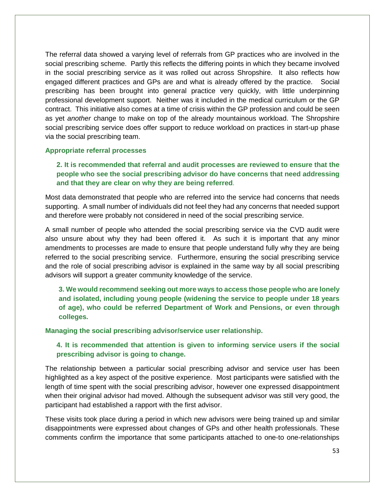The referral data showed a varying level of referrals from GP practices who are involved in the social prescribing scheme. Partly this reflects the differing points in which they became involved in the social prescribing service as it was rolled out across Shropshire. It also reflects how engaged different practices and GPs are and what is already offered by the practice. Social prescribing has been brought into general practice very quickly, with little underpinning professional development support. Neither was it included in the medical curriculum or the GP contract. This initiative also comes at a time of crisis within the GP profession and could be seen as yet *another* change to make on top of the already mountainous workload. The Shropshire social prescribing service does offer support to reduce workload on practices in start-up phase via the social prescribing team.

#### **Appropriate referral processes**

**2. It is recommended that referral and audit processes are reviewed to ensure that the people who see the social prescribing advisor do have concerns that need addressing and that they are clear on why they are being referred**.

Most data demonstrated that people who are referred into the service had concerns that needs supporting. A small number of individuals did not feel they had any concerns that needed support and therefore were probably not considered in need of the social prescribing service.

A small number of people who attended the social prescribing service via the CVD audit were also unsure about why they had been offered it. As such it is important that any minor amendments to processes are made to ensure that people understand fully why they are being referred to the social prescribing service. Furthermore, ensuring the social prescribing service and the role of social prescribing advisor is explained in the same way by all social prescribing advisors will support a greater community knowledge of the service.

**3. We would recommend seeking out more ways to access those people who are lonely and isolated, including young people (widening the service to people under 18 years of age), who could be referred Department of Work and Pensions, or even through colleges.** 

**Managing the social prescribing advisor/service user relationship.**

**4. It is recommended that attention is given to informing service users if the social prescribing advisor is going to change.**

The relationship between a particular social prescribing advisor and service user has been highlighted as a key aspect of the positive experience. Most participants were satisfied with the length of time spent with the social prescribing advisor, however one expressed disappointment when their original advisor had moved. Although the subsequent advisor was still very good, the participant had established a rapport with the first advisor.

These visits took place during a period in which new advisors were being trained up and similar disappointments were expressed about changes of GPs and other health professionals. These comments confirm the importance that some participants attached to one-to one-relationships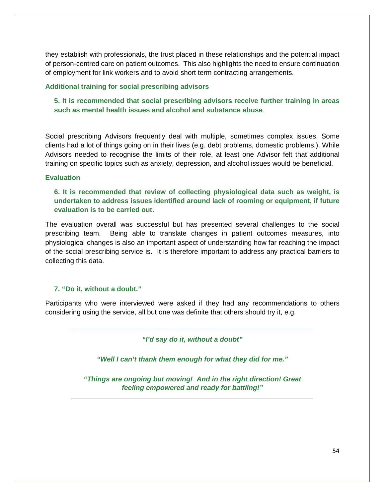they establish with professionals, the trust placed in these relationships and the potential impact of person-centred care on patient outcomes. This also highlights the need to ensure continuation of employment for link workers and to avoid short term contracting arrangements.

#### **Additional training for social prescribing advisors**

### **5. It is recommended that social prescribing advisors receive further training in areas such as mental health issues and alcohol and substance abuse**.

Social prescribing Advisors frequently deal with multiple, sometimes complex issues. Some clients had a lot of things going on in their lives (e.g. debt problems, domestic problems.). While Advisors needed to recognise the limits of their role, at least one Advisor felt that additional training on specific topics such as anxiety, depression, and alcohol issues would be beneficial.

#### **Evaluation**

### **6. It is recommended that review of collecting physiological data such as weight, is undertaken to address issues identified around lack of rooming or equipment, if future evaluation is to be carried out.**

The evaluation overall was successful but has presented several challenges to the social prescribing team. Being able to translate changes in patient outcomes measures, into physiological changes is also an important aspect of understanding how far reaching the impact of the social prescribing service is. It is therefore important to address any practical barriers to collecting this data.

### **7. "Do it, without a doubt."**

Participants who were interviewed were asked if they had any recommendations to others considering using the service, all but one was definite that others should try it, e.g.

*"I'd say do it, without a doubt"* 

*"Well I can't thank them enough for what they did for me."* 

*"Things are ongoing but moving! And in the right direction! Great feeling empowered and ready for battling!"*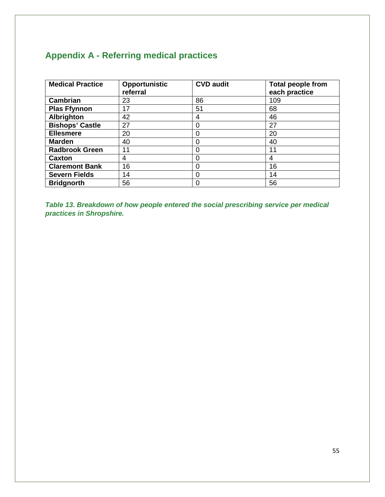# **Appendix A - Referring medical practices**

| <b>Medical Practice</b> | Opportunistic<br>referral | <b>CVD audit</b> | <b>Total people from</b><br>each practice |
|-------------------------|---------------------------|------------------|-------------------------------------------|
| <b>Cambrian</b>         | 23                        | 86               | 109                                       |
| <b>Plas Ffynnon</b>     | 17                        | 51               | 68                                        |
| <b>Albrighton</b>       | 42                        | 4                | 46                                        |
| <b>Bishops' Castle</b>  | 27                        | $\Omega$         | 27                                        |
| <b>Ellesmere</b>        | 20                        |                  | 20                                        |
| <b>Marden</b>           | 40                        | $\Omega$         | 40                                        |
| <b>Radbrook Green</b>   | 11                        | $\Omega$         | 11                                        |
| Caxton                  | 4                         | 0                | 4                                         |
| <b>Claremont Bank</b>   | 16                        |                  | 16                                        |
| <b>Severn Fields</b>    | 14                        | $\Omega$         | 14                                        |
| <b>Bridgnorth</b>       | 56                        | 0                | 56                                        |

*Table 13. Breakdown of how people entered the social prescribing service per medical practices in Shropshire.*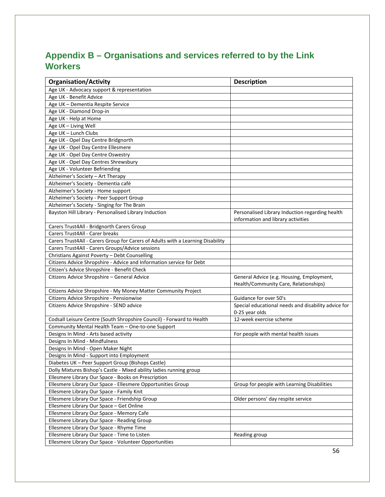# **Appendix B – Organisations and services referred to by the Link Workers**

| <b>Organisation/Activity</b>                                                    | <b>Description</b>                                  |
|---------------------------------------------------------------------------------|-----------------------------------------------------|
| Age UK - Advocacy support & representation                                      |                                                     |
| Age UK - Benefit Advice                                                         |                                                     |
| Age UK - Dementia Respite Service                                               |                                                     |
| Age UK - Diamond Drop-in                                                        |                                                     |
| Age UK - Help at Home                                                           |                                                     |
| Age UK - Living Well                                                            |                                                     |
| Age UK - Lunch Clubs                                                            |                                                     |
| Age UK - Opel Day Centre Bridgnorth                                             |                                                     |
| Age UK - Opel Day Centre Ellesmere                                              |                                                     |
| Age UK - Opel Day Centre Oswestry                                               |                                                     |
| Age UK - Opel Day Centres Shrewsbury                                            |                                                     |
| Age UK - Volunteer Befriending                                                  |                                                     |
| Alzheimer's Society - Art Therapy                                               |                                                     |
| Alzheimer's Society - Dementia café                                             |                                                     |
| Alzheimer's Society - Home support                                              |                                                     |
| Alzheimer's Society - Peer Support Group                                        |                                                     |
| Alzheimer's Society - Singing for The Brain                                     |                                                     |
| Bayston Hill Library - Personalised Library Induction                           | Personalised Library Induction regarding health     |
|                                                                                 | information and library activities                  |
| Carers Trust4All - Bridgnorth Carers Group                                      |                                                     |
| Carers Trust4All - Carer breaks                                                 |                                                     |
| Carers Trust4All - Carers Group for Carers of Adults with a Learning Disability |                                                     |
| Carers Trust4All - Carers Groups/Advice sessions                                |                                                     |
| Christians Against Poverty - Debt Counselling                                   |                                                     |
| Citizens Advice Shropshire - Advice and Information service for Debt            |                                                     |
| Citizen's Advice Shropshire - Benefit Check                                     |                                                     |
| Citizens Advice Shropshire - General Advice                                     | General Advice (e.g. Housing, Employment,           |
|                                                                                 | Health/Community Care, Relationships)               |
| Citizens Advice Shropshire - My Money Matter Community Project                  |                                                     |
| Citizens Advice Shropshire - Pensionwise                                        | Guidance for over 50's                              |
| Citizens Advice Shropshire - SEND advice                                        | Special educational needs and disability advice for |
|                                                                                 | 0-25 year olds                                      |
| Codsall Leisure Centre (South Shropshire Council) - Forward to Health           | 12-week exercise scheme                             |
| Community Mental Health Team - One-to-one Support                               |                                                     |
| Designs In Mind - Arts based activity                                           | For people with mental health issues                |
| Designs In Mind - Mindfulness                                                   |                                                     |
| Designs In Mind - Open Maker Night                                              |                                                     |
| Designs In Mind - Support into Employment                                       |                                                     |
| Diabetes UK - Peer Support Group (Bishops Castle)                               |                                                     |
| Dolly Mixtures Bishop's Castle - Mixed ability ladies running group             |                                                     |
| Ellesmere Library Our Space - Books on Prescription                             |                                                     |
| Ellesmere Library Our Space - Ellesmere Opportunities Group                     | Group for people with Learning Disabilities         |
| Ellesmere Library Our Space - Family Knit                                       |                                                     |
| Ellesmere Library Our Space - Friendship Group                                  | Older persons' day respite service                  |
| Ellesmere Library Our Space - Get Online                                        |                                                     |
| Ellesmere Library Our Space - Memory Cafe                                       |                                                     |
| Ellesmere Library Our Space - Reading Group                                     |                                                     |
| Ellesmere Library Our Space - Rhyme Time                                        |                                                     |
| Ellesmere Library Our Space - Time to Listen                                    | Reading group                                       |
| Ellesmere Library Our Space - Volunteer Opportunities                           |                                                     |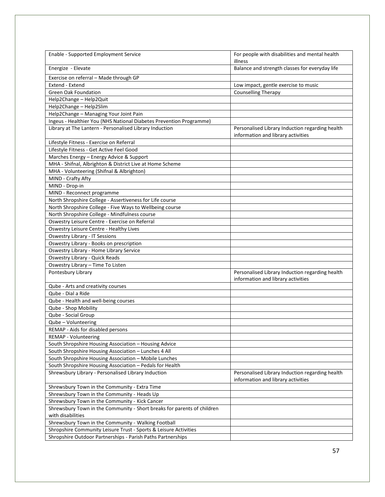| Enable - Supported Employment Service                                                                         | For people with disabilities and mental health                                        |
|---------------------------------------------------------------------------------------------------------------|---------------------------------------------------------------------------------------|
|                                                                                                               | illness                                                                               |
| Energize - Elevate                                                                                            | Balance and strength classes for everyday life                                        |
| Exercise on referral - Made through GP                                                                        |                                                                                       |
| Extend - Extend                                                                                               | Low impact, gentle exercise to music                                                  |
| <b>Green Oak Foundation</b>                                                                                   | <b>Counselling Therapy</b>                                                            |
| Help2Change - Help2Quit                                                                                       |                                                                                       |
| Help2Change - Help2Slim                                                                                       |                                                                                       |
| Help2Change - Managing Your Joint Pain                                                                        |                                                                                       |
| Ingeus - Healthier You (NHS National Diabetes Prevention Programme)                                           |                                                                                       |
| Library at The Lantern - Personalised Library Induction                                                       | Personalised Library Induction regarding health                                       |
|                                                                                                               | information and library activities                                                    |
| Lifestyle Fitness - Exercise on Referral                                                                      |                                                                                       |
| Lifestyle Fitness - Get Active Feel Good                                                                      |                                                                                       |
| Marches Energy - Energy Advice & Support                                                                      |                                                                                       |
| MHA - Shifnal, Albrighton & District Live at Home Scheme                                                      |                                                                                       |
| MHA - Volunteering (Shifnal & Albrighton)                                                                     |                                                                                       |
| MIND - Crafty Afty                                                                                            |                                                                                       |
| MIND - Drop-in                                                                                                |                                                                                       |
| MIND - Reconnect programme                                                                                    |                                                                                       |
| North Shropshire College - Assertiveness for Life course                                                      |                                                                                       |
| North Shropshire College - Five Ways to Wellbeing course                                                      |                                                                                       |
| North Shropshire College - Mindfulness course                                                                 |                                                                                       |
|                                                                                                               |                                                                                       |
| Oswestry Leisure Centre - Exercise on Referral                                                                |                                                                                       |
| Oswestry Leisure Centre - Healthy Lives                                                                       |                                                                                       |
| <b>Oswestry Library - IT Sessions</b>                                                                         |                                                                                       |
| Oswestry Library - Books on prescription                                                                      |                                                                                       |
| Oswestry Library - Home Library Service                                                                       |                                                                                       |
| <b>Oswestry Library - Quick Reads</b>                                                                         |                                                                                       |
| Oswestry Library - Time To Listen                                                                             |                                                                                       |
| Pontesbury Library                                                                                            | Personalised Library Induction regarding health<br>information and library activities |
| Qube - Arts and creativity courses                                                                            |                                                                                       |
| Qube - Dial a Ride                                                                                            |                                                                                       |
| Qube - Health and well-being courses                                                                          |                                                                                       |
| Qube - Shop Mobility                                                                                          |                                                                                       |
| Qube - Social Group                                                                                           |                                                                                       |
| Qube - Volunteering                                                                                           |                                                                                       |
| REMAP - Aids for disabled persons                                                                             |                                                                                       |
|                                                                                                               |                                                                                       |
| REMAP - Volunteering<br>South Shropshire Housing Association - Housing Advice                                 |                                                                                       |
|                                                                                                               |                                                                                       |
| South Shropshire Housing Association - Lunches 4 All<br>South Shropshire Housing Association - Mobile Lunches |                                                                                       |
|                                                                                                               |                                                                                       |
| South Shropshire Housing Association - Pedals for Health                                                      |                                                                                       |
| Shrewsbury Library - Personalised Library Induction                                                           | Personalised Library Induction regarding health<br>information and library activities |
| Shrewsbury Town in the Community - Extra Time                                                                 |                                                                                       |
| Shrewsbury Town in the Community - Heads Up                                                                   |                                                                                       |
| Shrewsbury Town in the Community - Kick Cancer                                                                |                                                                                       |
| Shrewsbury Town in the Community - Short breaks for parents of children                                       |                                                                                       |
| with disabilities                                                                                             |                                                                                       |
| Shrewsbury Town in the Community - Walking Football                                                           |                                                                                       |
| Shropshire Community Leisure Trust - Sports & Leisure Activities                                              |                                                                                       |
| Shropshire Outdoor Partnerships - Parish Paths Partnerships                                                   |                                                                                       |
|                                                                                                               |                                                                                       |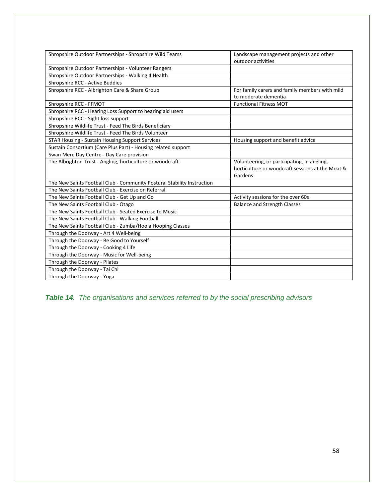| Shropshire Outdoor Partnerships - Shropshire Wild Teams                 | Landscape management projects and other          |
|-------------------------------------------------------------------------|--------------------------------------------------|
|                                                                         | outdoor activities                               |
| Shropshire Outdoor Partnerships - Volunteer Rangers                     |                                                  |
| Shropshire Outdoor Partnerships - Walking 4 Health                      |                                                  |
| Shropshire RCC - Active Buddies                                         |                                                  |
| Shropshire RCC - Albrighton Care & Share Group                          | For family carers and family members with mild   |
|                                                                         | to moderate dementia                             |
| Shropshire RCC - FFMOT                                                  | <b>Functional Fitness MOT</b>                    |
| Shropshire RCC - Hearing Loss Support to hearing aid users              |                                                  |
| Shropshire RCC - Sight loss support                                     |                                                  |
| Shropshire Wildlife Trust - Feed The Birds Beneficiary                  |                                                  |
| Shropshire Wildlife Trust - Feed The Birds Volunteer                    |                                                  |
| <b>STAR Housing - Sustain Housing Support Services</b>                  | Housing support and benefit advice               |
| Sustain Consortium (Care Plus Part) - Housing related support           |                                                  |
| Swan Mere Day Centre - Day Care provision                               |                                                  |
| The Albrighton Trust - Angling, horticulture or woodcraft               | Volunteering, or participating, in angling,      |
|                                                                         | horticulture or woodcraft sessions at the Moat & |
|                                                                         | Gardens                                          |
| The New Saints Football Club - Community Postural Stability Instruction |                                                  |
| The New Saints Football Club - Exercise on Referral                     |                                                  |
| The New Saints Football Club - Get Up and Go                            | Activity sessions for the over 60s               |
| The New Saints Football Club - Otago                                    | <b>Balance and Strength Classes</b>              |
| The New Saints Football Club - Seated Exercise to Music                 |                                                  |
| The New Saints Football Club - Walking Football                         |                                                  |
| The New Saints Football Club - Zumba/Hoola Hooping Classes              |                                                  |
| Through the Doorway - Art 4 Well-being                                  |                                                  |
| Through the Doorway - Be Good to Yourself                               |                                                  |
| Through the Doorway - Cooking 4 Life                                    |                                                  |
| Through the Doorway - Music for Well-being                              |                                                  |
| Through the Doorway - Pilates                                           |                                                  |
| Through the Doorway - Tai Chi                                           |                                                  |
| Through the Doorway - Yoga                                              |                                                  |

*Table 14. The organisations and services referred to by the social prescribing advisors*